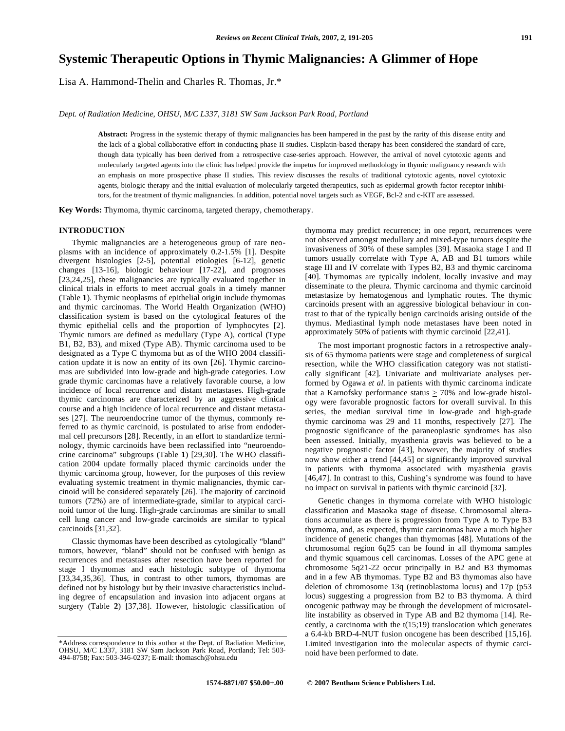# **Systemic Therapeutic Options in Thymic Malignancies: A Glimmer of Hope**

Lisa A. Hammond-Thelin and Charles R. Thomas, Jr.\*

*Dept. of Radiation Medicine, OHSU, M/C L337, 3181 SW Sam Jackson Park Road, Portland* 

Abstract: Progress in the systemic therapy of thymic malignancies has been hampered in the past by the rarity of this disease entity and the lack of a global collaborative effort in conducting phase II studies. Cisplatin-based therapy has been considered the standard of care, though data typically has been derived from a retrospective case-series approach. However, the arrival of novel cytotoxic agents and molecularly targeted agents into the clinic has helped provide the impetus for improved methodology in thymic malignancy research with an emphasis on more prospective phase II studies. This review discusses the results of traditional cytotoxic agents, novel cytotoxic agents, biologic therapy and the initial evaluation of molecularly targeted therapeutics, such as epidermal growth factor receptor inhibitors, for the treatment of thymic malignancies. In addition, potential novel targets such as VEGF, Bcl-2 and c-KIT are assessed.

**Key Words:** Thymoma, thymic carcinoma, targeted therapy, chemotherapy.

# **INTRODUCTION**

Thymic malignancies are a heterogeneous group of rare neoplasms with an incidence of approximately 0.2-1.5% [1]. Despite divergent histologies [2-5], potential etiologies [6-12], genetic changes [13-16], biologic behaviour [17-22], and prognoses [23,24,25], these malignancies are typically evaluated together in clinical trials in efforts to meet accrual goals in a timely manner (Table **1**). Thymic neoplasms of epithelial origin include thymomas and thymic carcinomas. The World Health Organization (WHO) classification system is based on the cytological features of the thymic epithelial cells and the proportion of lymphocytes [2]. Thymic tumors are defined as medullary (Type A), cortical (Type B1, B2, B3), and mixed (Type AB). Thymic carcinoma used to be designated as a Type C thymoma but as of the WHO 2004 classification update it is now an entity of its own [26]. Thymic carcinomas are subdivided into low-grade and high-grade categories. Low grade thymic carcinomas have a relatively favorable course, a low incidence of local recurrence and distant metastases. High-grade thymic carcinomas are characterized by an aggressive clinical course and a high incidence of local recurrence and distant metastases [27]. The neuroendocrine tumor of the thymus, commonly referred to as thymic carcinoid, is postulated to arise from endodermal cell precursors [28]. Recently, in an effort to standardize terminology, thymic carcinoids have been reclassified into "neuroendocrine carcinoma" subgroups (Table **1**) [29,30]. The WHO classification 2004 update formally placed thymic carcinoids under the thymic carcinoma group, however, for the purposes of this review evaluating systemic treatment in thymic malignancies, thymic carcinoid will be considered separately [26]. The majority of carcinoid tumors (72%) are of intermediate-grade, similar to atypical carcinoid tumor of the lung. High-grade carcinomas are similar to small cell lung cancer and low-grade carcinoids are similar to typical carcinoids [31,32].

Classic thymomas have been described as cytologically "bland" tumors, however, "bland" should not be confused with benign as recurrences and metastases after resection have been reported for stage I thymomas and each histologic subtype of thymoma [33,34,35,36]. Thus, in contrast to other tumors, thymomas are defined not by histology but by their invasive characteristics including degree of encapsulation and invasion into adjacent organs at surgery (Table **2**) [37,38]. However, histologic classification of thymoma may predict recurrence; in one report, recurrences were not observed amongst medullary and mixed-type tumors despite the invasiveness of 30% of these samples [39]. Masaoka stage I and II tumors usually correlate with Type A, AB and B1 tumors while stage III and IV correlate with Types B2, B3 and thymic carcinoma [40]. Thymomas are typically indolent, locally invasive and may disseminate to the pleura. Thymic carcinoma and thymic carcinoid metastasize by hematogenous and lymphatic routes. The thymic carcinoids present with an aggressive biological behaviour in contrast to that of the typically benign carcinoids arising outside of the thymus. Mediastinal lymph node metastases have been noted in approximately 50% of patients with thymic carcinoid [22,41].

The most important prognostic factors in a retrospective analysis of 65 thymoma patients were stage and completeness of surgical resection, while the WHO classification category was not statistically significant [42]. Univariate and multivariate analyses performed by Ogawa *et al.* in patients with thymic carcinoma indicate that a Karnofsky performance status  $> 70\%$  and low-grade histology were favorable prognostic factors for overall survival. In this series, the median survival time in low-grade and high-grade thymic carcinoma was 29 and 11 months, respectively [27]. The prognostic significance of the paraneoplastic syndromes has also been assessed. Initially, myasthenia gravis was believed to be a negative prognostic factor [43], however, the majority of studies now show either a trend [44,45] or significantly improved survival in patients with thymoma associated with myasthenia gravis [46,47]. In contrast to this, Cushing's syndrome was found to have no impact on survival in patients with thymic carcinoid [32].

Genetic changes in thymoma correlate with WHO histologic classification and Masaoka stage of disease. Chromosomal alterations accumulate as there is progression from Type A to Type B3 thymoma, and, as expected, thymic carcinomas have a much higher incidence of genetic changes than thymomas [48]. Mutations of the chromosomal region 6q25 can be found in all thymoma samples and thymic squamous cell carcinomas. Losses of the APC gene at chromosome 5q21-22 occur principally in B2 and B3 thymomas and in a few AB thymomas. Type B2 and B3 thymomas also have deletion of chromosome 13q (retinoblastoma locus) and 17p (p53 locus) suggesting a progression from B2 to B3 thymoma. A third oncogenic pathway may be through the development of microsatellite instability as observed in Type AB and B2 thymoma [14]. Recently, a carcinoma with the  $t(15;19)$  translocation which generates a 6.4-kb BRD-4-NUT fusion oncogene has been described [15,16]. Limited investigation into the molecular aspects of thymic carcinoid have been performed to date.

<sup>\*</sup>Address correspondence to this author at the Dept. of Radiation Medicine, OHSU, M/C L337, 3181 SW Sam Jackson Park Road, Portland; Tel: 503- 494-8758; Fax: 503-346-0237; E-mail: thomasch@ohsu.edu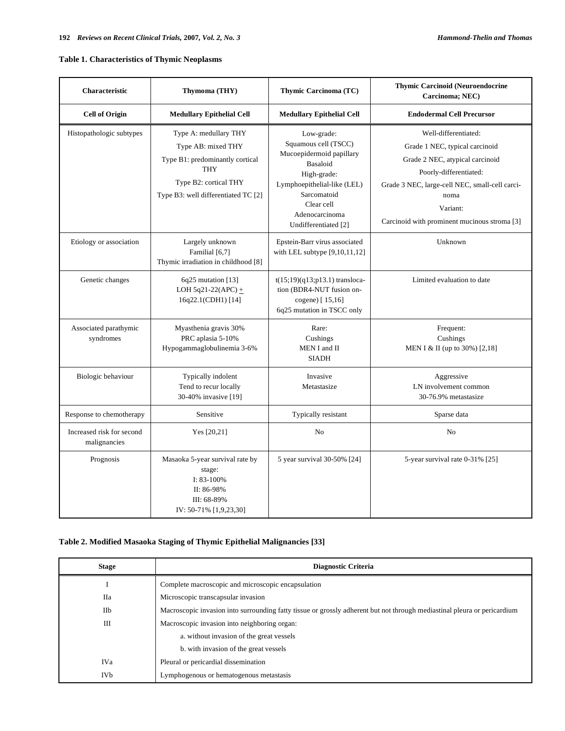# **Table 1. Characteristics of Thymic Neoplasms**

| Characteristic                            | Thymoma (THY)                                                                                                                                                | Thymic Carcinoma (TC)                                                                                                                                                                           | <b>Thymic Carcinoid (Neuroendocrine</b><br>Carcinoma; NEC)                                                                                                                                                                                |
|-------------------------------------------|--------------------------------------------------------------------------------------------------------------------------------------------------------------|-------------------------------------------------------------------------------------------------------------------------------------------------------------------------------------------------|-------------------------------------------------------------------------------------------------------------------------------------------------------------------------------------------------------------------------------------------|
| <b>Cell of Origin</b>                     | <b>Medullary Epithelial Cell</b>                                                                                                                             | <b>Medullary Epithelial Cell</b>                                                                                                                                                                | <b>Endodermal Cell Precursor</b>                                                                                                                                                                                                          |
| Histopathologic subtypes                  | Type A: medullary THY<br>Type AB: mixed THY<br>Type B1: predominantly cortical<br><b>THY</b><br>Type B2: cortical THY<br>Type B3: well differentiated TC [2] | Low-grade:<br>Squamous cell (TSCC)<br>Mucoepidermoid papillary<br>Basaloid<br>High-grade:<br>Lymphoepithelial-like (LEL)<br>Sarcomatoid<br>Clear cell<br>Adenocarcinoma<br>Undifferentiated [2] | Well-differentiated:<br>Grade 1 NEC, typical carcinoid<br>Grade 2 NEC, atypical carcinoid<br>Poorly-differentiated:<br>Grade 3 NEC, large-cell NEC, small-cell carci-<br>noma<br>Variant:<br>Carcinoid with prominent mucinous stroma [3] |
| Etiology or association                   | Largely unknown<br>Familial [6,7]<br>Thymic irradiation in childhood [8]                                                                                     | Epstein-Barr virus associated<br>with LEL subtype $[9,10,11,12]$                                                                                                                                | Unknown                                                                                                                                                                                                                                   |
| Genetic changes                           | $6q25$ mutation [13]<br>LOH 5q21-22(APC) $+$<br>16q22.1(CDH1) [14]                                                                                           | $t(15;19)(q13;p13.1)$ transloca-<br>tion (BDR4-NUT fusion on-<br>cogene) [15,16]<br>6q25 mutation in TSCC only                                                                                  | Limited evaluation to date                                                                                                                                                                                                                |
| Associated parathymic<br>syndromes        | Myasthenia gravis 30%<br>PRC aplasia 5-10%<br>Hypogammaglobulinemia 3-6%                                                                                     | Rare:<br>Cushings<br>MEN I and II<br><b>SIADH</b>                                                                                                                                               | Frequent:<br>Cushings<br>MEN I & II (up to 30%) [2,18]                                                                                                                                                                                    |
| Biologic behaviour                        | Typically indolent<br>Tend to recur locally<br>30-40% invasive [19]                                                                                          | Invasive<br>Metastasize                                                                                                                                                                         | Aggressive<br>LN involvement common<br>30-76.9% metastasize                                                                                                                                                                               |
| Response to chemotherapy                  | Sensitive                                                                                                                                                    | Typically resistant                                                                                                                                                                             | Sparse data                                                                                                                                                                                                                               |
| Increased risk for second<br>malignancies | Yes $[20,21]$                                                                                                                                                | No                                                                                                                                                                                              | No                                                                                                                                                                                                                                        |
| Prognosis                                 | Masaoka 5-year survival rate by<br>stage:<br>I: $83-100\%$<br>II: 86-98%<br>III: 68-89%<br>IV: 50-71% [1,9,23,30]                                            | 5 year survival 30-50% [24]                                                                                                                                                                     | 5-year survival rate 0-31% [25]                                                                                                                                                                                                           |

# **Table 2. Modified Masaoka Staging of Thymic Epithelial Malignancies [33]**

| <b>Stage</b>    | <b>Diagnostic Criteria</b>                                                                                               |
|-----------------|--------------------------------------------------------------------------------------------------------------------------|
|                 | Complete macroscopic and microscopic encapsulation                                                                       |
| <b>IIa</b>      | Microscopic transcapsular invasion                                                                                       |
| IIb             | Macroscopic invasion into surrounding fatty tissue or grossly adherent but not through mediastinal pleura or pericardium |
| Ш               | Macroscopic invasion into neighboring organ:                                                                             |
|                 | a. without invasion of the great vessels                                                                                 |
|                 | b. with invasion of the great vessels                                                                                    |
| IVa             | Pleural or pericardial dissemination                                                                                     |
| IV <sub>b</sub> | Lymphogenous or hematogenous metastasis                                                                                  |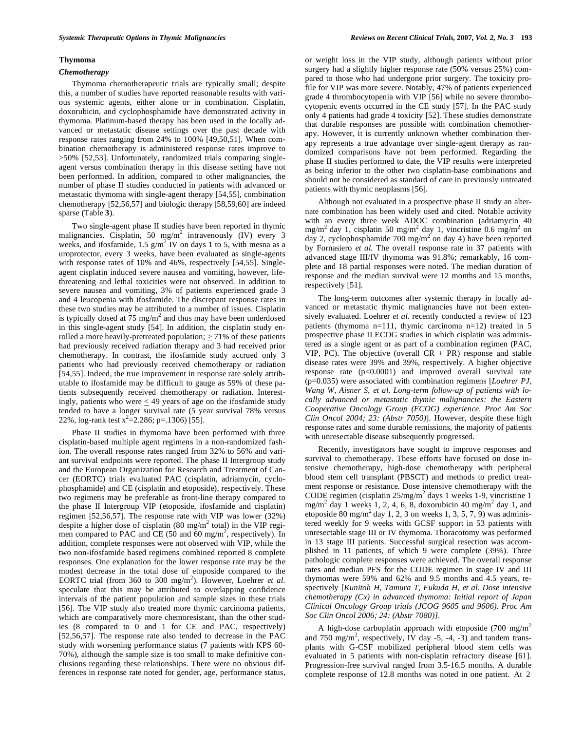## **Thymoma**

## *Chemotherapy*

Thymoma chemotherapeutic trials are typically small; despite this, a number of studies have reported reasonable results with various systemic agents, either alone or in combination. Cisplatin, doxorubicin, and cyclophosphamide have demonstrated activity in thymoma. Platinum-based therapy has been used in the locally advanced or metastatic disease settings over the past decade with response rates ranging from 24% to 100% [49,50,51]. When combination chemotherapy is administered response rates improve to >50% [52,53]. Unfortunately, randomized trials comparing singleagent versus combination therapy in this disease setting have not been performed. In addition, compared to other malignancies, the number of phase II studies conducted in patients with advanced or metastatic thymoma with single-agent therapy [54,55], combination chemotherapy [52,56,57] and biologic therapy [58,59,60] are indeed sparse (Table **3**).

Two single-agent phase II studies have been reported in thymic malignancies. Cisplatin, 50 mg/m<sup>2</sup> intravenously (IV) every 3 weeks, and ifosfamide,  $1.5$   $g/m^2$  IV on days 1 to 5, with mesna as a uroprotector, every 3 weeks, have been evaluated as single-agents with response rates of 10% and 46%, respectively [54,55]. Singleagent cisplatin induced severe nausea and vomiting, however, lifethreatening and lethal toxicities were not observed. In addition to severe nausea and vomiting, 3% of patients experienced grade 3 and 4 leucopenia with ifosfamide. The discrepant response rates in these two studies may be attributed to a number of issues. Cisplatin is typically dosed at  $75 \text{ mg/m}^2$  and thus may have been underdosed in this single-agent study [54]. In addition, the cisplatin study enrolled a more heavily-pretreated population;  $\geq 71\%$  of these patients had previously received radiation therapy and 3 had received prior chemotherapy. In contrast, the ifosfamide study accrued only 3 patients who had previously received chemotherapy or radiation [54,55]. Indeed, the true improvement in response rate solely attributable to ifosfamide may be difficult to gauge as 59% of these patients subsequently received chemotherapy or radiation. Interestingly, patients who were  $\leq$  49 years of age on the ifosfamide study tended to have a longer survival rate (5 year survival 78% versus 22%, log-rank test  $x^2 = 2.286$ ; p=.1306) [55].

Phase II studies in thymoma have been performed with three cisplatin-based multiple agent regimens in a non-randomized fashion. The overall response rates ranged from 32% to 56% and variant survival endpoints were reported. The phase II Intergroup study and the European Organization for Research and Treatment of Cancer (EORTC) trials evaluated PAC (cisplatin, adriamycin, cyclophosphamide) and CE (cisplatin and etoposide), respectively. These two regimens may be preferable as front-line therapy compared to the phase II Intergroup VIP (etoposide, ifosfamide and cisplatin) regimen [52,56,57]. The response rate with VIP was lower (32%) despite a higher dose of cisplatin (80 mg/m<sup>2</sup> total) in the VIP regimen compared to PAC and CE (50 and 60 mg/m<sup>2</sup>, respectively). In addition, complete responses were not observed with VIP, while the two non-ifosfamide based regimens combined reported 8 complete responses. One explanation for the lower response rate may be the modest decrease in the total dose of etoposide compared to the EORTC trial (from 360 to 300 mg/m<sup>2</sup>). However, Loehrer *et al.* speculate that this may be attributed to overlapping confidence intervals of the patient population and sample sizes in these trials [56]. The VIP study also treated more thymic carcinoma patients, which are comparatively more chemoresistant, than the other studies (8 compared to 0 and 1 for CE and PAC, respectively) [52,56,57]. The response rate also tended to decrease in the PAC study with worsening performance status (7 patients with KPS 60- 70%), although the sample size is too small to make definitive conclusions regarding these relationships. There were no obvious differences in response rate noted for gender, age, performance status,

or weight loss in the VIP study, although patients without prior surgery had a slightly higher response rate (50% versus 25%) compared to those who had undergone prior surgery. The toxicity profile for VIP was more severe. Notably, 47% of patients experienced grade 4 thrombocytopenia with VIP [56] while no severe thrombocytopenic events occurred in the CE study [57]. In the PAC study only 4 patients had grade 4 toxicity [52]. These studies demonstrate that durable responses are possible with combination chemotherapy. However, it is currently unknown whether combination therapy represents a true advantage over single-agent therapy as randomized comparisons have not been performed. Regarding the phase II studies performed to date, the VIP results were interpreted as being inferior to the other two cisplatin-base combinations and should not be considered as standard of care in previously untreated patients with thymic neoplasms [56].

Although not evaluated in a prospective phase II study an alternate combination has been widely used and cited. Notable activity with an every three week ADOC combination (adriamycin 40 mg/m<sup>2</sup> day 1, cisplatin 50 mg/m<sup>2</sup> day 1, vincristine 0.6 mg/m<sup>2</sup> on day 2, cyclophosphamide  $700 \text{ mg/m}^2$  on day 4) have been reported by Fornasiero *et al.* The overall response rate in 37 patients with advanced stage III/IV thymoma was 91.8%; remarkably, 16 complete and 18 partial responses were noted. The median duration of response and the median survival were 12 months and 15 months, respectively [51].

The long-term outcomes after systemic therapy in locally advanced or metastatic thymic malignancies have not been extensively evaluated. Loehrer *et al.* recently conducted a review of 123 patients (thymoma n=111, thymic carcinoma n=12) treated in 5 prospective phase II ECOG studies in which cisplatin was administered as a single agent or as part of a combination regimen (PAC, VIP, PC). The objective (overall  $CR + PR$ ) response and stable disease rates were 39% and 39%, respectively. A higher objective response rate (p<0.0001) and improved overall survival rate (p=0.035) were associated with combination regimens [*Loehrer PJ, Wang W, Aisner S, et al. Long-term follow-up of patients with locally advanced or metastatic thymic malignancies: the Eastern Cooperative Oncology Group (ECOG) experience. Proc Am Soc Clin Oncol 2004; 23: (Abstr 7050)*]. However, despite these high response rates and some durable remissions, the majority of patients with unresectable disease subsequently progressed.

Recently, investigators have sought to improve responses and survival to chemotherapy. These efforts have focused on dose intensive chemotherapy, high-dose chemotherapy with peripheral blood stem cell transplant (PBSCT) and methods to predict treatment response or resistance. Dose intensive chemotherapy with the CODE regimen (cisplatin  $25/mg/m^2$  days 1 weeks 1-9, vincristine 1 mg/m<sup>2</sup> day 1 weeks 1, 2, 4, 6, 8, doxorubicin 40 mg/m<sup>2</sup> day 1, and etoposide 80 mg/m<sup>2</sup> day 1, 2, 3 on weeks 1, 3, 5, 7, 9) was administered weekly for 9 weeks with GCSF support in 53 patients with unresectable stage III or IV thymoma. Thoracotomy was performed in 13 stage III patients. Successful surgical resection was accomplished in 11 patients, of which 9 were complete (39%). Three pathologic complete responses were achieved. The overall response rates and median PFS for the CODE regimen in stage IV and III thymomas were 59% and 62% and 9.5 months and 4.5 years, respectively [*Kunitoh H, Tamura T, Fukuda H, et al. Dose intensive chemotherapy (Cx) in advanced thymoma: Initial report of Japan Clinical Oncology Group trials (JCOG 9605 and 9606). Proc Am Soc Clin Oncol 2006; 24: (Abstr 7080)]*.

A high-dose carboplatin approach with etoposide (700 mg/m*<sup>2</sup>* and  $750 \text{ mg/m}^2$ , respectively, IV day -5, -4, -3) and tandem transplants with G-CSF mobilized peripheral blood stem cells was evaluated in 5 patients with non-cisplatin refractory disease [61]. Progression-free survival ranged from 3.5-16.5 months. A durable complete response of 12.8 months was noted in one patient. At 2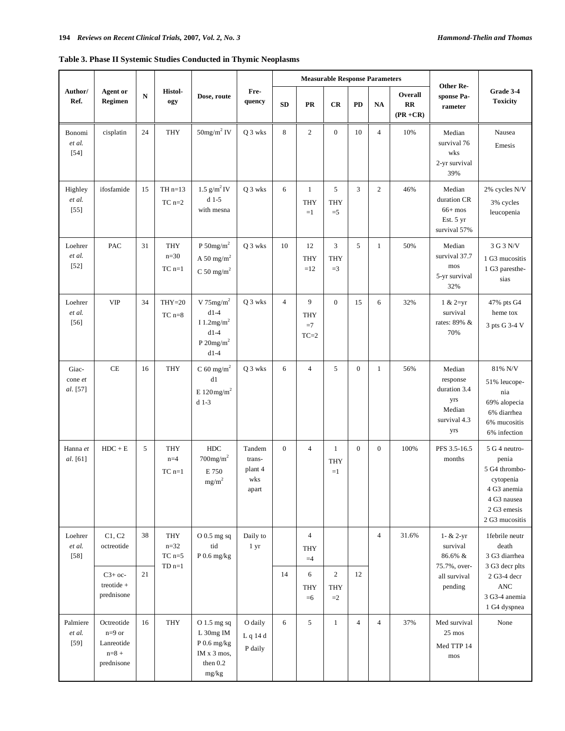# **Table 3. Phase II Systemic Studies Conducted in Thymic Neoplasms**

|                              |                                                                 |    |                                     |                                                                                                 |                                             |                  |                                      | <b>Measurable Response Parameters</b> |                  |                  |                              |                                                                            |                                                                                                                     |  |
|------------------------------|-----------------------------------------------------------------|----|-------------------------------------|-------------------------------------------------------------------------------------------------|---------------------------------------------|------------------|--------------------------------------|---------------------------------------|------------------|------------------|------------------------------|----------------------------------------------------------------------------|---------------------------------------------------------------------------------------------------------------------|--|
| Author/<br>Ref.              | <b>Agent</b> or<br>Regimen                                      | N  | Histol-<br>ogy                      | Dose, route                                                                                     | Fre-<br>quency                              | <b>SD</b>        | <b>PR</b>                            | <b>CR</b>                             | PD               | <b>NA</b>        | Overall<br>RR<br>$(PR + CR)$ | Other Re-<br>sponse Pa-<br>rameter                                         | Grade 3-4<br><b>Toxicity</b>                                                                                        |  |
| Bonomi<br>et al.<br>$[54]$   | cisplatin                                                       | 24 | <b>THY</b>                          | $50$ mg/m <sup>2</sup> IV                                                                       | Q 3 wks                                     | 8                | $\overline{c}$                       | $\overline{0}$                        | 10               | $\overline{4}$   | 10%                          | Median<br>survival 76<br>wks<br>2-yr survival<br>39%                       | Nausea<br>Emesis                                                                                                    |  |
| Highley<br>et al.<br>$[55]$  | ifosfamide                                                      | 15 | TH $n=13$<br>$TC$ n= $2$            | $1.5$ g/m <sup>2</sup> IV<br>$d$ 1-5<br>with mesna                                              | Q 3 wks                                     | 6                | $\mathbf{1}$<br><b>THY</b><br>$=1$   | 5<br><b>THY</b><br>$=$ 5              | 3                | $\overline{c}$   | 46%                          | Median<br>duration CR<br>$66+$ mos<br>Est. 5 yr<br>survival 57%            | 2% cycles N/V<br>3% cycles<br>leucopenia                                                                            |  |
| Loehrer<br>et al.<br>$[52]$  | PAC                                                             | 31 | <b>THY</b><br>$n=30$<br>$TC$ $n=1$  | P $50 \mathrm{mg/m}^2$<br>A 50 mg/m <sup>2</sup><br>C 50 mg/m <sup>2</sup>                      | Q 3 wks                                     | 10               | 12<br><b>THY</b><br>$=12$            | 3<br><b>THY</b><br>$=$ 3              | 5                | $\mathbf{1}$     | 50%                          | Median<br>survival 37.7<br>mos<br>5-yr survival<br>32%                     | 3 G 3 N/V<br>1 G3 mucositis<br>1 G3 paresthe-<br>sias                                                               |  |
| Loehrer<br>et al.<br>$[56]$  | <b>VIP</b>                                                      | 34 | $THY=20$<br>$TC$ n= $8$             | V $75mg/m2$<br>$d1-4$<br>I 1.2mg/m <sup>2</sup><br>$d1-4$<br>P 20mg/m <sup>2</sup><br>$d1-4$    | Q 3 wks                                     | $\overline{4}$   | 9<br><b>THY</b><br>$=7$<br>$TC=2$    | $\overline{0}$                        | 15               | 6                | 32%                          | $1 & 2 = yr$<br>survival<br>rates: 89% &<br>70%                            | 47% pts G4<br>heme tox<br>3 pts G 3-4 V                                                                             |  |
| Giac-<br>cone et<br>al. [57] | <b>CE</b>                                                       | 16 | <b>THY</b>                          | C 60 mg/m <sup>2</sup><br>d1<br>E 120mg/m <sup>2</sup><br>$d$ 1-3                               | Q 3 wks                                     | 6                | $\overline{4}$                       | 5                                     | $\overline{0}$   | $\mathbf{1}$     | 56%                          | Median<br>response<br>duration 3.4<br>yrs<br>Median<br>survival 4.3<br>yrs | 81% N/V<br>51% leucope-<br>nia<br>69% alopecia<br>6% diarrhea<br>6% mucositis<br>6% infection                       |  |
| Hanna et<br>al. [61]         | $HDC + E$                                                       | 5  | <b>THY</b><br>$n=4$<br>$TC$ n=1     | HDC<br>$700$ mg/m <sup>2</sup><br>E 750<br>$mg/m^2$                                             | Tandem<br>trans-<br>plant 4<br>wks<br>apart | $\boldsymbol{0}$ | $\overline{4}$                       | $\mathbf{1}$<br><b>THY</b><br>$=1$    | $\boldsymbol{0}$ | $\boldsymbol{0}$ | 100%                         | PFS 3.5-16.5<br>months                                                     | 5 G 4 neutro-<br>penia<br>5 G4 thrombo-<br>cytopenia<br>4 G3 anemia<br>4 G3 nausea<br>2 G3 emesis<br>2 G3 mucositis |  |
| Loehrer<br>et al.<br>$[58]$  | C1, C2<br>octreotide                                            | 38 | <b>THY</b><br>$n=32$<br>$TC$ n= $5$ | O 0.5 mg sq<br>tid<br>$P$ 0.6 mg/kg                                                             | Daily to<br>1 yr                            |                  | $\overline{4}$<br><b>THY</b><br>$=4$ |                                       |                  | $\overline{4}$   | 31.6%                        | 1- & 2-yr<br>survival<br>86.6% &                                           | 1febrile neutr<br>death<br>3 G3 diarrhea                                                                            |  |
|                              | $C3+oc$<br>treotide +<br>prednisone                             | 21 | $TDn=1$                             |                                                                                                 |                                             | 14               | 6<br><b>THY</b><br>$=6$              | $\overline{c}$<br><b>THY</b><br>$=2$  | 12               |                  |                              | 75.7%, over-<br>all survival<br>pending                                    | 3 G3 decr plts<br>2 G3-4 decr<br>$\operatorname{ANC}$<br>3 G3-4 anemia<br>1 G4 dyspnea                              |  |
| Palmiere<br>et al.<br>$[59]$ | Octreotide<br>$n=9$ or<br>Lanreotide<br>$n = 8 +$<br>prednisone | 16 | <b>THY</b>                          | $O$ 1.5 mg sq<br>$\rm L$ $30mg$ $\rm IM$<br>$P$ 0.6 mg/kg<br>IM x 3 mos,<br>then $0.2$<br>mg/kg | O daily<br>L q 14 d<br>P daily              | 6                | 5                                    | $\mathbf{1}$                          | $\overline{4}$   | $\overline{4}$   | 37%                          | Med survival<br>25 mos<br>Med TTP 14<br>mos                                | None                                                                                                                |  |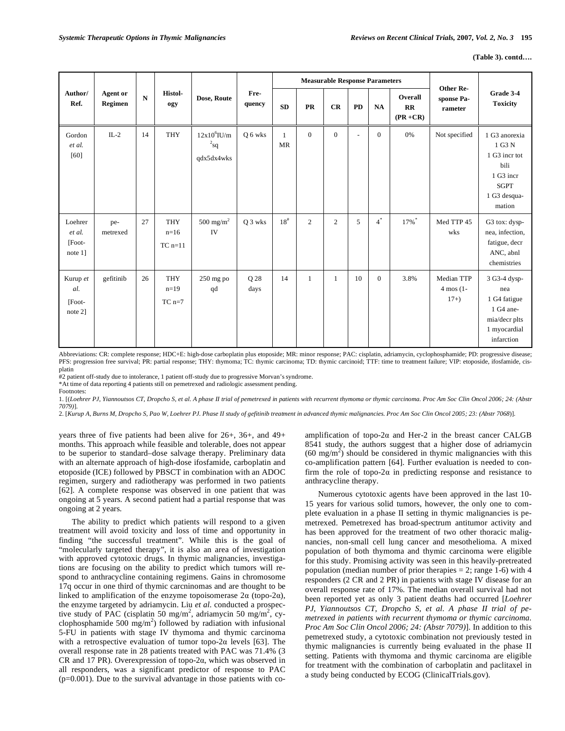|                                        |                     |           |                                   |                                          | <b>Measurable Response Parameters</b> |                           |                |                | <b>Other Re-</b> |                |                              |                                              |                                                                                                        |
|----------------------------------------|---------------------|-----------|-----------------------------------|------------------------------------------|---------------------------------------|---------------------------|----------------|----------------|------------------|----------------|------------------------------|----------------------------------------------|--------------------------------------------------------------------------------------------------------|
| Author/<br>Ref.                        | Agent or<br>Regimen | ${\bf N}$ | Histol-<br>ogy                    | Dose, Route                              | Fre-<br>quency                        | <b>SD</b>                 | <b>PR</b>      | CR             | <b>PD</b>        | <b>NA</b>      | Overall<br>RR<br>$(PR + CR)$ | sponse Pa-<br>rameter                        | Grade 3-4<br><b>Toxicity</b>                                                                           |
| Gordon<br>et al.<br>[60]               | $IL-2$              | 14        | <b>THY</b>                        | $12x10^6$ IU/m<br>$2_{sq}$<br>qdx5dx4wks | O 6 wks                               | $\mathbf{1}$<br><b>MR</b> | $\overline{0}$ | $\mathbf{0}$   | ÷,               | $\overline{0}$ | 0%                           | Not specified                                | 1 G3 anorexia<br>1 G3 N<br>1 G3 incr tot<br>bili<br>1 G3 incr<br><b>SGPT</b><br>1 G3 desqua-<br>mation |
| Loehrer<br>et al.<br>[Foot-<br>note 1] | pe-<br>metrexed     | 27        | <b>THY</b><br>$n=16$<br>$TC$ n=11 | $500~{\rm mg/m}^2$<br>IV                 | Q 3 wks                               | $18^{\rm \#}$             | $\overline{c}$ | $\overline{2}$ | 5                | $4^*$          | 17%                          | Med TTP 45<br>wks                            | G3 tox: dysp-<br>nea, infection,<br>fatigue, decr<br>ANC, abnl<br>chemistries                          |
| Kurup et<br>al.<br>[Foot-<br>note 2]   | gefitinib           | 26        | <b>THY</b><br>$n=19$<br>$TC$ n=7  | $250$ mg po<br>qd                        | O 28<br>days                          | 14                        | $\mathbf{1}$   | $\mathbf{1}$   | 10               | $\theta$       | 3.8%                         | Median TTP<br>$4 \text{ mos } (1 -$<br>$17+$ | 3 G3-4 dysp-<br>nea<br>1 G4 fatigue<br>1 G4 ane-<br>mia/decr plts<br>1 myocardial<br>infarction        |

Abbreviations: CR: complete response; HDC+E: high-dose carboplatin plus etoposide; MR: minor response; PAC: cisplatin, adriamycin, cyclophosphamide; PD: progressive disease; PFS: progression free survival; PR: partial response; THY: thymoma; TC: thymic carcinoma; TD: thymic carcinoid; TTF: time to treatment failure; VIP: etoposide, ifosfamide, cisplatin

#2 patient off-study due to intolerance, 1 patient off-study due to progressive Morvan's syndrome.

\*At time of data reporting 4 patients still on pemetrexed and radiologic assessment pending.

Footnotes:

1. [(*Loehrer PJ, Yiannoutsos CT, Dropcho S, et al. A phase II trial of pemetrexed in patients with recurrent thymoma or thymic carcinoma. Proc Am Soc Clin Oncol 2006; 24: (Abstr 7079)*]*.*

2. [*Kurup A, Burns M, Dropcho S, Pao W, Loehrer PJ. Phase II study of gefitinib treatment in advanced thymic malignancies. Proc Am Soc Clin Oncol 2005; 23: (Abstr 7068*)]*.* 

years three of five patients had been alive for 26+, 36+, and 49+ months. This approach while feasible and tolerable, does not appear to be superior to standard–dose salvage therapy. Preliminary data with an alternate approach of high-dose ifosfamide, carboplatin and etoposide (ICE) followed by PBSCT in combination with an ADOC regimen, surgery and radiotherapy was performed in two patients [62]. A complete response was observed in one patient that was ongoing at 5 years. A second patient had a partial response that was ongoing at 2 years.

The ability to predict which patients will respond to a given treatment will avoid toxicity and loss of time and opportunity in finding "the successful treatment". While this is the goal of "molecularly targeted therapy", it is also an area of investigation with approved cytotoxic drugs. In thymic malignancies, investigations are focusing on the ability to predict which tumors will respond to anthracycline containing regimens. Gains in chromosome 17q occur in one third of thymic carcninomas and are thought to be linked to amplification of the enzyme topoisomerase  $2\alpha$  (topo- $2\alpha$ ), the enzyme targeted by adriamycin. Liu *et al.* conducted a prospective study of PAC (cisplatin 50 mg/m<sup>2</sup>, adriamycin 50 mg/m<sup>2</sup>, cyclophosphamide 500  $mg/m^2$ ) followed by radiation with infusional 5-FU in patients with stage IV thymoma and thymic carcinoma with a retrospective evaluation of tumor topo-2 $\alpha$  levels [63]. The overall response rate in 28 patients treated with PAC was 71.4% (3 CR and 17 PR). Overexpression of topo-2 $\alpha$ , which was observed in all responders, was a significant predictor of response to PAC  $(p=0.001)$ . Due to the survival advantage in those patients with coamplification of topo-2 $\alpha$  and Her-2 in the breast cancer CALGB 8541 study, the authors suggest that a higher dose of adriamycin  $(60 \text{ mg/m}^2)$  should be considered in thymic malignancies with this co-amplification pattern [64]. Further evaluation is needed to confirm the role of topo-2 $\alpha$  in predicting response and resistance to anthracycline therapy.

Numerous cytotoxic agents have been approved in the last 10- 15 years for various solid tumors, however, the only one to complete evaluation in a phase II setting in thymic malignancies is pemetrexed. Pemetrexed has broad-spectrum antitumor activity and has been approved for the treatment of two other thoracic malignancies, non-small cell lung cancer and mesothelioma. A mixed population of both thymoma and thymic carcinoma were eligible for this study. Promising activity was seen in this heavily-pretreated population (median number of prior therapies  $= 2$ ; range 1-6) with 4 responders (2 CR and 2 PR) in patients with stage IV disease for an overall response rate of 17%. The median overall survival had not been reported yet as only 3 patient deaths had occurred [*Loehrer PJ, Yiannoutsos CT, Dropcho S, et al. A phase II trial of pemetrexed in patients with recurrent thymoma or thymic carcinoma. Proc Am Soc Clin Oncol 2006; 24: (Abstr 7079)*]. In addition to this pemetrexed study, a cytotoxic combination not previously tested in thymic malignancies is currently being evaluated in the phase II setting. Patients with thymoma and thymic carcinoma are eligible for treatment with the combination of carboplatin and paclitaxel in a study being conducted by ECOG (ClinicalTrials.gov).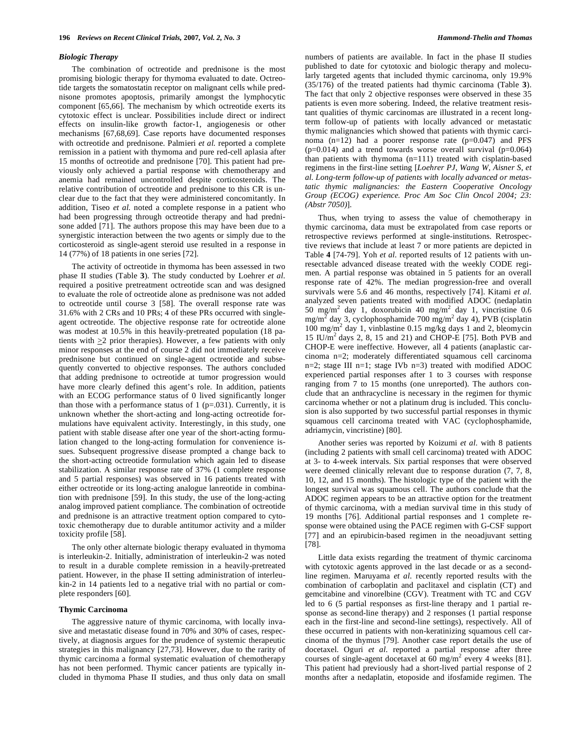#### *Biologic Therapy*

The combination of octreotide and prednisone is the most promising biologic therapy for thymoma evaluated to date. Octreotide targets the somatostatin receptor on malignant cells while prednisone promotes apoptosis, primarily amongst the lymphocytic component [65,66]. The mechanism by which octreotide exerts its cytotoxic effect is unclear. Possibilities include direct or indirect effects on insulin-like growth factor-1, angiogenesis or other mechanisms [67,68,69]. Case reports have documented responses with octreotide and prednisone. Palmieri *et al.* reported a complete remission in a patient with thymoma and pure red-cell aplasia after 15 months of octreotide and prednisone [70]. This patient had previously only achieved a partial response with chemotherapy and anemia had remained uncontrolled despite corticosteroids. The relative contribution of octreotide and prednisone to this CR is unclear due to the fact that they were administered concomitantly. In addition, Tiseo *et al.* noted a complete response in a patient who had been progressing through octreotide therapy and had prednisone added [71]. The authors propose this may have been due to a synergistic interaction between the two agents or simply due to the corticosteroid as single-agent steroid use resulted in a response in 14 (77%) of 18 patients in one series [72].

The activity of octreotide in thymoma has been assessed in two phase II studies (Table **3**). The study conducted by Loehrer *et al.*  required a positive pretreatment octreotide scan and was designed to evaluate the role of octreotide alone as prednisone was not added to octreotide until course 3 [58]. The overall response rate was 31.6% with 2 CRs and 10 PRs; 4 of these PRs occurred with singleagent octreotide. The objective response rate for octreotide alone was modest at 10.5% in this heavily-pretreated population (18 patients with  $\geq$ 2 prior therapies). However, a few patients with only minor responses at the end of course 2 did not immediately receive prednisone but continued on single-agent octreotide and subsequently converted to objective responses. The authors concluded that adding prednisone to octreotide at tumor progression would have more clearly defined this agent's role. In addition, patients with an ECOG performance status of 0 lived significantly longer than those with a performance status of  $1$  (p=.031). Currently, it is unknown whether the short-acting and long-acting octreotide formulations have equivalent activity. Interestingly, in this study, one patient with stable disease after one year of the short-acting formulation changed to the long-acting formulation for convenience issues. Subsequent progressive disease prompted a change back to the short-acting octreotide formulation which again led to disease stabilization. A similar response rate of 37% (1 complete response and 5 partial responses) was observed in 16 patients treated with either octreotide or its long-acting analogue lanreotide in combination with prednisone [59]. In this study, the use of the long-acting analog improved patient compliance. The combination of octreotide and prednisone is an attractive treatment option compared to cytotoxic chemotherapy due to durable antitumor activity and a milder toxicity profile [58].

The only other alternate biologic therapy evaluated in thymoma is interleukin-2. Initially, administration of interleukin-2 was noted to result in a durable complete remission in a heavily-pretreated patient. However, in the phase II setting administration of interleukin-2 in 14 patients led to a negative trial with no partial or complete responders [60].

# **Thymic Carcinoma**

The aggressive nature of thymic carcinoma, with locally invasive and metastatic disease found in 70% and 30% of cases, respectively, at diagnosis argues for the prudence of systemic therapeutic strategies in this malignancy [27,73]. However, due to the rarity of thymic carcinoma a formal systematic evaluation of chemotherapy has not been performed. Thymic cancer patients are typically included in thymoma Phase II studies, and thus only data on small numbers of patients are available. In fact in the phase II studies published to date for cytotoxic and biologic therapy and molecularly targeted agents that included thymic carcinoma, only 19.9% (35/176) of the treated patients had thymic carcinoma (Table **3**). The fact that only 2 objective responses were observed in these 35 patients is even more sobering. Indeed, the relative treatment resistant qualities of thymic carcinomas are illustrated in a recent longterm follow-up of patients with locally advanced or metastatic thymic malignancies which showed that patients with thymic carcinoma  $(n=12)$  had a poorer response rate  $(p=0.047)$  and PFS  $(p=0.014)$  and a trend towards worse overall survival  $(p=0.064)$ than patients with thymoma (n=111) treated with cisplatin-based regimens in the first-line setting [*Loehrer PJ, Wang W, Aisner S, et al. Long-term follow-up of patients with locally advanced or metastatic thymic malignancies: the Eastern Cooperative Oncology Group (ECOG) experience. Proc Am Soc Clin Oncol 2004; 23: (Abstr 7050)*].

Thus, when trying to assess the value of chemotherapy in thymic carcinoma, data must be extrapolated from case reports or retrospective reviews performed at single-institutions. Retrospective reviews that include at least 7 or more patients are depicted in Table **4** [74-79]. Yoh *et al.* reported results of 12 patients with unresectable advanced disease treated with the weekly CODE regimen. A partial response was obtained in 5 patients for an overall response rate of 42%. The median progression-free and overall survivals were 5.6 and 46 months, respectively [74]. Kitami *et al.*  analyzed seven patients treated with modified ADOC (nedaplatin 50 mg/m<sup>2</sup> day 1, doxorubicin 40 mg/m<sup>2</sup> day 1, vincristine 0.6  $mg/m<sup>2</sup>$  day 3, cyclophosphamide 700 mg/m<sup>2</sup> day 4), PVB (cisplatin 100 mg/m<sup>2</sup> day 1, vinblastine 0.15 mg/kg days 1 and 2, bleomycin 15 IU/m<sup>2</sup> days 2, 8, 15 and 21) and CHOP-E [75]. Both PVB and CHOP-E were ineffective. However, all 4 patients (anaplastic carcinoma n=2; moderately differentiated squamous cell carcinoma n=2; stage III n=1; stage IVb n=3) treated with modified ADOC experienced partial responses after 1 to 3 courses with response ranging from 7 to 15 months (one unreported). The authors conclude that an anthracycline is necessary in the regimen for thymic carcinoma whether or not a platinum drug is included. This conclusion is also supported by two successful partial responses in thymic squamous cell carcinoma treated with VAC (cyclophosphamide, adriamycin, vincristine) [80].

Another series was reported by Koizumi *et al.* with 8 patients (including 2 patients with small cell carcinoma) treated with ADOC at 3- to 4-week intervals. Six partial responses that were observed were deemed clinically relevant due to response duration (7, 7, 8, 10, 12, and 15 months). The histologic type of the patient with the longest survival was squamous cell. The authors conclude that the ADOC regimen appears to be an attractive option for the treatment of thymic carcinoma, with a median survival time in this study of 19 months [76]. Additional partial responses and 1 complete response were obtained using the PACE regimen with G-CSF support [77] and an epirubicin-based regimen in the neoadjuvant setting [78].

Little data exists regarding the treatment of thymic carcinoma with cytotoxic agents approved in the last decade or as a secondline regimen. Maruyama *et al.* recently reported results with the combination of carboplatin and paclitaxel and cisplatin (CT) and gemcitabine and vinorelbine (CGV). Treatment with TC and CGV led to 6 (5 partial responses as first-line therapy and 1 partial response as second-line therapy) and 2 responses (1 partial response each in the first-line and second-line settings), respectively. All of these occurred in patients with non-keratinizing squamous cell carcinoma of the thymus [79]. Another case report details the use of docetaxel. Oguri *et al.* reported a partial response after three courses of single-agent docetaxel at  $60 \text{ mg/m}^2$  every 4 weeks [81]. This patient had previously had a short-lived partial response of 2 months after a nedaplatin, etoposide and ifosfamide regimen. The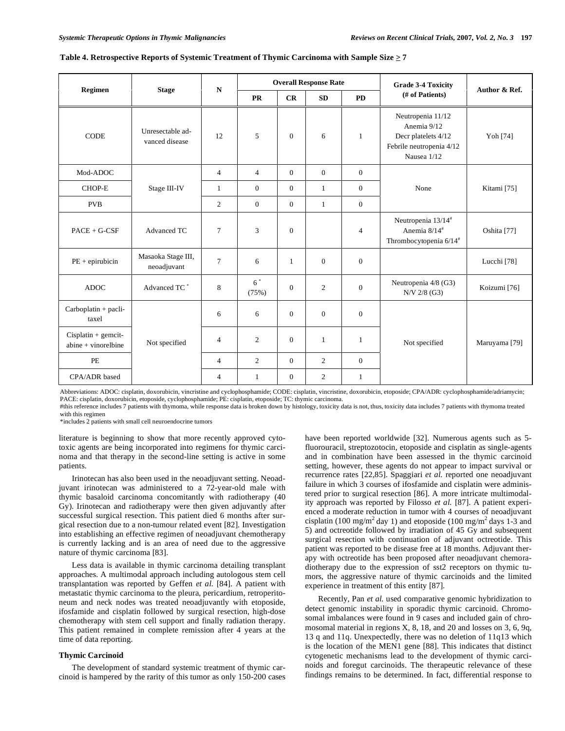|                                                  |                                    | $\mathbf N$    |                |                | <b>Overall Response Rate</b> |                  | <b>Grade 3-4 Toxicity</b>                                                                          |                          |  |
|--------------------------------------------------|------------------------------------|----------------|----------------|----------------|------------------------------|------------------|----------------------------------------------------------------------------------------------------|--------------------------|--|
| Regimen                                          | <b>Stage</b>                       |                | <b>PR</b>      | CR             | SD                           | <b>PD</b>        | (# of Patients)                                                                                    | Author & Ref.            |  |
| <b>CODE</b>                                      | Unresectable ad-<br>vanced disease | 12             | 5              | $\mathbf{0}$   | 6                            | $\mathbf{1}$     | Neutropenia 11/12<br>Anemia 9/12<br>Decr platelets 4/12<br>Febrile neutropenia 4/12<br>Nausea 1/12 | Yoh [74]                 |  |
| Mod-ADOC                                         |                                    | $\overline{4}$ | $\overline{4}$ | $\overline{0}$ | $\mathbf{0}$                 | $\mathbf{0}$     |                                                                                                    |                          |  |
| CHOP-E                                           | Stage III-IV                       | $\mathbf{1}$   | $\mathbf{0}$   | $\overline{0}$ | $\mathbf{1}$                 | $\mathbf{0}$     | None                                                                                               | Kitami [75]              |  |
| <b>PVB</b>                                       |                                    | $\overline{c}$ | $\mathbf{0}$   | $\overline{0}$ | $\mathbf{1}$                 | $\boldsymbol{0}$ |                                                                                                    |                          |  |
| $PACE + G-CSF$                                   | Advanced TC                        | $\overline{7}$ | 3              | $\Omega$       |                              | $\overline{4}$   | Neutropenia 13/14#<br>Anemia 8/14#<br>Thrombocytopenia $6/14^{\#}$                                 | Oshita [77]              |  |
| $PE + epirubicin$                                | Masaoka Stage III,<br>neoadjuvant  | $\overline{7}$ | 6              | 1              | $\mathbf{0}$                 | $\boldsymbol{0}$ |                                                                                                    | Lucchi [78]              |  |
| <b>ADOC</b>                                      | Advanced TC <sup>*</sup>           | 8              | $6^*$<br>(75%) | $\Omega$       | 2                            | $\overline{0}$   | Neutropenia 4/8 (G3)<br>N/V 2/8 (G3)                                                               | Koizumi [76]             |  |
| $Carboplatin + pacli-$<br>taxel                  |                                    | 6              | 6              | $\mathbf{0}$   | $\mathbf{0}$                 | $\mathbf{0}$     |                                                                                                    |                          |  |
| $Cisplatin + geometric$<br>$abine + vinorelbine$ | Not specified                      | $\overline{4}$ | $\overline{c}$ | $\Omega$       | $\mathbf{1}$                 | $\mathbf{1}$     | Not specified                                                                                      | Maruyama <sup>[79]</sup> |  |
| PE                                               |                                    | $\overline{4}$ | $\overline{c}$ | $\overline{0}$ | $\overline{2}$               | $\mathbf{0}$     |                                                                                                    |                          |  |
| CPA/ADR based                                    |                                    | 4              | 1              | $\mathbf{0}$   | 2                            | $\mathbf{1}$     |                                                                                                    |                          |  |

|  |  | Table 4. Retrospective Reports of Systemic Treatment of Thymic Carcinoma with Sample Size > 7 |  |
|--|--|-----------------------------------------------------------------------------------------------|--|
|  |  |                                                                                               |  |

Abbreviations: ADOC: cisplatin, doxorubicin, vincristine and cyclophosphamide; CODE: cisplatin, vincristine, doxorubicin, etoposide; CPA/ADR: cyclophosphamide/adriamycin; PACE: cisplatin, doxorubicin, etoposide, cyclophosphamide; PE: cisplatin, etoposide; TC: thymic carcinoma.

#this reference includes 7 patients with thymoma, while response data is broken down by histology, toxicity data is not, thus, toxicity data includes 7 patients with thymoma treated with this regimen

\*includes 2 patients with small cell neuroendocrine tumors

literature is beginning to show that more recently approved cytotoxic agents are being incorporated into regimens for thymic carcinoma and that therapy in the second-line setting is active in some patients.

Irinotecan has also been used in the neoadjuvant setting. Neoadjuvant irinotecan was administered to a 72-year-old male with thymic basaloid carcinoma concomitantly with radiotherapy (40 Gy). Irinotecan and radiotherapy were then given adjuvantly after successful surgical resection. This patient died 6 months after surgical resection due to a non-tumour related event [82]. Investigation into establishing an effective regimen of neoadjuvant chemotherapy is currently lacking and is an area of need due to the aggressive nature of thymic carcinoma [83].

Less data is available in thymic carcinoma detailing transplant approaches. A multimodal approach including autologous stem cell transplantation was reported by Geffen *et al.* [84]. A patient with metastatic thymic carcinoma to the pleura, pericardium, retroperitoneum and neck nodes was treated neoadjuvantly with etoposide, ifosfamide and cisplatin followed by surgical resection, high-dose chemotherapy with stem cell support and finally radiation therapy. This patient remained in complete remission after 4 years at the time of data reporting.

# **Thymic Carcinoid**

The development of standard systemic treatment of thymic carcinoid is hampered by the rarity of this tumor as only 150-200 cases have been reported worldwide [32]. Numerous agents such as 5 fluorouracil, streptozotocin, etoposide and cisplatin as single-agents and in combination have been assessed in the thymic carcinoid setting, however, these agents do not appear to impact survival or recurrence rates [22,85]. Spaggiari *et al.* reported one neoadjuvant failure in which 3 courses of ifosfamide and cisplatin were administered prior to surgical resection [86]. A more intricate multimodality approach was reported by Filosso *et al.* [87]. A patient experienced a moderate reduction in tumor with 4 courses of neoadjuvant cisplatin (100 mg/m<sup>2</sup> day 1) and etoposide (100 mg/m<sup>2</sup> days 1-3 and 5) and octreotide followed by irradiation of 45 Gy and subsequent surgical resection with continuation of adjuvant octreotide. This patient was reported to be disease free at 18 months. Adjuvant therapy with octreotide has been proposed after neoadjuvant chemoradiotherapy due to the expression of sst2 receptors on thymic tumors, the aggressive nature of thymic carcinoids and the limited experience in treatment of this entity [87].

Recently, Pan *et al.* used comparative genomic hybridization to detect genomic instability in sporadic thymic carcinoid. Chromosomal imbalances were found in 9 cases and included gain of chromosomal material in regions X, 8, 18, and 20 and losses on 3, 6, 9q, 13 q and 11q. Unexpectedly, there was no deletion of 11q13 which is the location of the MEN1 gene [88]. This indicates that distinct cytogenetic mechanisms lead to the development of thymic carcinoids and foregut carcinoids. The therapeutic relevance of these findings remains to be determined. In fact, differential response to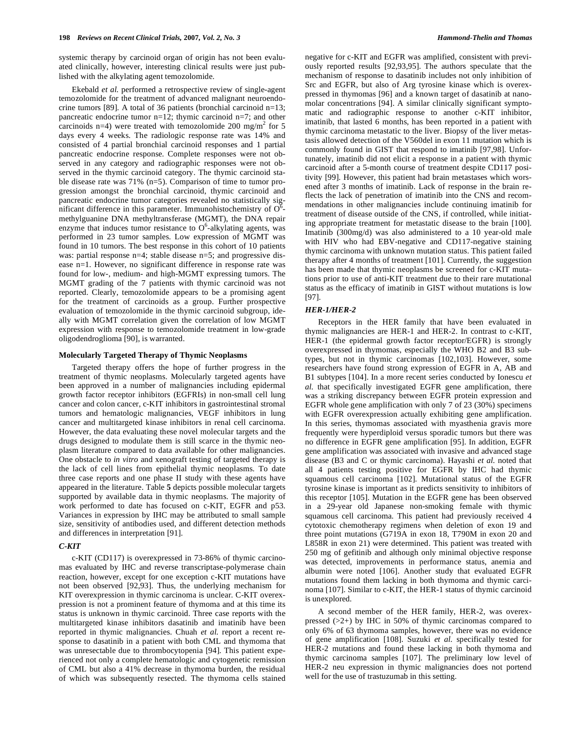systemic therapy by carcinoid organ of origin has not been evaluated clinically, however, interesting clinical results were just published with the alkylating agent temozolomide.

Ekebald *et al.* performed a retrospective review of single-agent temozolomide for the treatment of advanced malignant neuroendocrine tumors [89]. A total of 36 patients (bronchial carcinoid n=13; pancreatic endocrine tumor  $n=12$ ; thymic carcinoid  $n=7$ ; and other carcinoids n=4) were treated with temozolomide 200 mg/m<sup>2</sup> for 5 days every 4 weeks. The radiologic response rate was 14% and consisted of 4 partial bronchial carcinoid responses and 1 partial pancreatic endocrine response. Complete responses were not observed in any category and radiographic responses were not observed in the thymic carcinoid category. The thymic carcinoid stable disease rate was 71% (n=5). Comparison of time to tumor progression amongst the bronchial carcinoid, thymic carcinoid and pancreatic endocrine tumor categories revealed no statistically significant difference in this parameter. Immunohistochemistry of  $O^6$ methylguanine DNA methyltransferase (MGMT), the DNA repair enzyme that induces tumor resistance to  $O^6$ -alkylating agents, was performed in 23 tumor samples. Low expression of MGMT was found in 10 tumors. The best response in this cohort of 10 patients was: partial response n=4; stable disease n=5; and progressive disease n=1. However, no significant difference in response rate was found for low-, medium- and high-MGMT expressing tumors. The MGMT grading of the 7 patients with thymic carcinoid was not reported. Clearly, temozolomide appears to be a promising agent for the treatment of carcinoids as a group. Further prospective evaluation of temozolomide in the thymic carcinoid subgroup, ideally with MGMT correlation given the correlation of low MGMT expression with response to temozolomide treatment in low-grade oligodendroglioma [90], is warranted.

## **Molecularly Targeted Therapy of Thymic Neoplasms**

Targeted therapy offers the hope of further progress in the treatment of thymic neoplasms. Molecularly targeted agents have been approved in a number of malignancies including epidermal growth factor receptor inhibitors (EGFRIs) in non-small cell lung cancer and colon cancer, c-KIT inhibitors in gastrointestinal stromal tumors and hematologic malignancies, VEGF inhibitors in lung cancer and multitargeted kinase inhibitors in renal cell carcinoma. However, the data evaluating these novel molecular targets and the drugs designed to modulate them is still scarce in the thymic neoplasm literature compared to data available for other malignancies. One obstacle to *in vitro* and xenograft testing of targeted therapy is the lack of cell lines from epithelial thymic neoplasms. To date three case reports and one phase II study with these agents have appeared in the literature. Table **5** depicts possible molecular targets supported by available data in thymic neoplasms. The majority of work performed to date has focused on c-KIT, EGFR and p53. Variances in expression by IHC may be attributed to small sample size, sensitivity of antibodies used, and different detection methods and differences in interpretation [91].

# *C-KIT*

c-KIT (CD117) is overexpressed in 73-86% of thymic carcinomas evaluated by IHC and reverse transcriptase-polymerase chain reaction, however, except for one exception c-KIT mutations have not been observed [92,93]. Thus, the underlying mechanism for KIT overexpression in thymic carcinoma is unclear. C-KIT overexpression is not a prominent feature of thymoma and at this time its status is unknown in thymic carcinoid. Three case reports with the multitargeted kinase inhibitors dasatinib and imatinib have been reported in thymic malignancies. Chuah *et al.* report a recent response to dasatinib in a patient with both CML and thymoma that was unresectable due to thrombocytopenia [94]. This patient experienced not only a complete hematologic and cytogenetic remission of CML but also a 41% decrease in thymoma burden, the residual of which was subsequently resected. The thymoma cells stained negative for c-KIT and EGFR was amplified, consistent with previously reported results [92,93,95]. The authors speculate that the mechanism of response to dasatinib includes not only inhibition of Src and EGFR, but also of Arg tyrosine kinase which is overexpressed in thymomas [96] and a known target of dasatinib at nanomolar concentrations [94]. A similar clinically significant symptomatic and radiographic response to another c-KIT inhibitor, imatinib, that lasted 6 months, has been reported in a patient with thymic carcinoma metastatic to the liver. Biopsy of the liver metastasis allowed detection of the V560del in exon 11 mutation which is commonly found in GIST that respond to imatinib [97,98]. Unfortunately, imatinib did not elicit a response in a patient with thymic carcinoid after a 5-month course of treatment despite CD117 positivity [99]. However, this patient had brain metastases which worsened after 3 months of imatinib. Lack of response in the brain reflects the lack of penetration of imatinib into the CNS and recommendations in other malignancies include continuing imatinib for treatment of disease outside of the CNS, if controlled, while initiating appropriate treatment for metastatic disease to the brain [100]. Imatinib (300mg/d) was also administered to a 10 year-old male with HIV who had EBV-negative and CD117-negative staining thymic carcinoma with unknown mutation status. This patient failed therapy after 4 months of treatment [101]. Currently, the suggestion has been made that thymic neoplasms be screened for c-KIT mutations prior to use of anti-KIT treatment due to their rare mutational status as the efficacy of imatinib in GIST without mutations is low [97].

# *HER-1/HER-2*

Receptors in the HER family that have been evaluated in thymic malignancies are HER-1 and HER-2. In contrast to c-KIT, HER-1 (the epidermal growth factor receptor/EGFR) is strongly overexpressed in thymomas, especially the WHO B2 and B3 subtypes, but not in thymic carcinomas [102,103]. However, some researchers have found strong expression of EGFR in A, AB and B1 subtypes [104]. In a more recent series conducted by Ionescu *et al.* that specifically investigated EGFR gene amplification, there was a striking discrepancy between EGFR protein expression and EGFR whole gene amplification with only 7 of 23 (30%) specimens with EGFR overexpression actually exhibiting gene amplification. In this series, thymomas associated with myasthenia gravis more frequently were hyperdiploid versus sporadic tumors but there was no difference in EGFR gene amplification [95]. In addition, EGFR gene amplification was associated with invasive and advanced stage disease (B3 and C or thymic carcinoma). Hayashi *et al.* noted that all 4 patients testing positive for EGFR by IHC had thymic squamous cell carcinoma [102]. Mutational status of the EGFR tyrosine kinase is important as it predicts sensitivity to inhibitors of this receptor [105]. Mutation in the EGFR gene has been observed in a 29-year old Japanese non-smoking female with thymic squamous cell carcinoma. This patient had previously received 4 cytotoxic chemotherapy regimens when deletion of exon 19 and three point mutations (G719A in exon 18, T790M in exon 20 and L858R in exon 21) were determined. This patient was treated with 250 mg of gefitinib and although only minimal objective response was detected, improvements in performance status, anemia and albumin were noted [106]. Another study that evaluated EGFR mutations found them lacking in both thymoma and thymic carcinoma [107]. Similar to c-KIT, the HER-1 status of thymic carcinoid is unexplored.

A second member of the HER family, HER-2, was overexpressed  $(>2+)$  by IHC in 50% of thymic carcinomas compared to only 6% of 63 thymoma samples, however, there was no evidence of gene amplification [108]. Suzuki *et al.* specifically tested for HER-2 mutations and found these lacking in both thymoma and thymic carcinoma samples [107]. The preliminary low level of HER-2 neu expression in thymic malignancies does not portend well for the use of trastuzumab in this setting.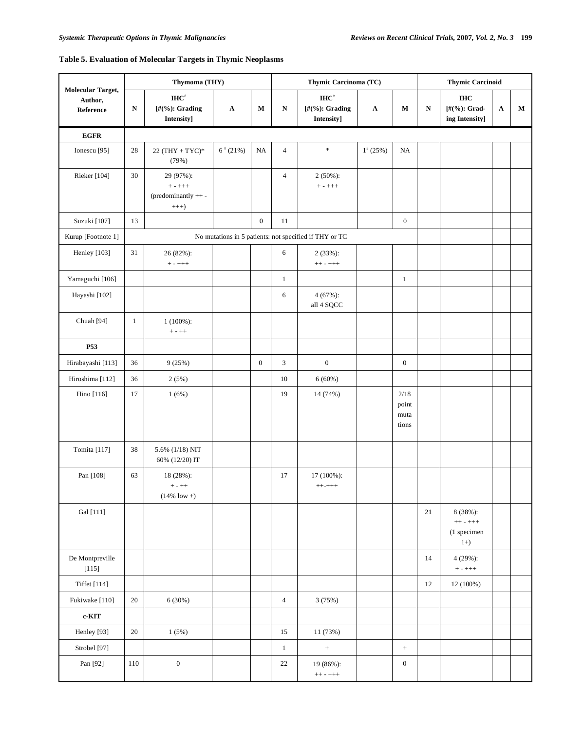# **Table 5. Evaluation of Molecular Targets in Thymic Neoplasms**

|                                           |              | Thymoma (THY)                                               |                       |                  |                | Thymic Carcinoma (TC)                                                     |              | <b>Thymic Carcinoid</b>        |           |                                                |             |   |
|-------------------------------------------|--------------|-------------------------------------------------------------|-----------------------|------------------|----------------|---------------------------------------------------------------------------|--------------|--------------------------------|-----------|------------------------------------------------|-------------|---|
| Molecular Target,<br>Author,<br>Reference | ${\bf N}$    | $\mathbf{IHC}^{\wedge}$<br>[#(%): Grading<br>Intensity]     | $\boldsymbol{\rm{A}}$ | М                | ${\bf N}$      | $\mathbf{I}\mathbf{H}\mathbf{C}^{\wedge}$<br>[#(%): Grading<br>Intensity] | $\mathbf A$  | M                              | ${\bf N}$ | <b>IHC</b><br>[#(%): Grad-<br>ing Intensity]   | $\mathbf A$ | М |
| $EGFR$                                    |              |                                                             |                       |                  |                |                                                                           |              |                                |           |                                                |             |   |
| Ionescu <sup>[95]</sup>                   | $28\,$       | $22 (THY + TYC)*$<br>(79%)                                  | $6*(21%)$             | <b>NA</b>        | 4              | $\ast$                                                                    | $1^{*}(25%)$ | NA                             |           |                                                |             |   |
| Rieker [104]                              | 30           | 29 (97%):<br>$+ - + + +$<br>(predominantly ++-<br>$^{+++)}$ |                       |                  | 4              | $2(50\%)$ :<br>$+ - + + +$                                                |              |                                |           |                                                |             |   |
| Suzuki [107]                              | 13           |                                                             |                       | $\boldsymbol{0}$ | 11             |                                                                           |              | $\boldsymbol{0}$               |           |                                                |             |   |
| Kurup [Footnote 1]                        |              |                                                             |                       |                  |                | No mutations in 5 patients: not specified if THY or TC                    |              |                                |           |                                                |             |   |
| Henley [103]                              | 31           | 26 (82%):<br>$+ - + + +$                                    |                       |                  | $\epsilon$     | $2(33%)$ :<br>$++ - + + +$                                                |              |                                |           |                                                |             |   |
| Yamaguchi [106]                           |              |                                                             |                       |                  | $\mathbf{1}$   |                                                                           |              | $\mathbf{1}$                   |           |                                                |             |   |
| Hayashi [102]                             |              |                                                             |                       |                  | 6              | 4 (67%):<br>all 4 SQCC                                                    |              |                                |           |                                                |             |   |
| Chuah [94]                                | $\mathbf{1}$ | $1(100\%)$ :<br>$+ - + +$                                   |                       |                  |                |                                                                           |              |                                |           |                                                |             |   |
| P53                                       |              |                                                             |                       |                  |                |                                                                           |              |                                |           |                                                |             |   |
| Hirabayashi [113]                         | 36           | 9(25%)                                                      |                       | $\mathbf{0}$     | $\mathfrak{Z}$ | $\boldsymbol{0}$                                                          |              | $\boldsymbol{0}$               |           |                                                |             |   |
| Hiroshima [112]                           | 36           | 2(5%)                                                       |                       |                  | 10             | 6(60%)                                                                    |              |                                |           |                                                |             |   |
| Hino [116]                                | 17           | 1(6%)                                                       |                       |                  | 19             | 14 (74%)                                                                  |              | 2/18<br>point<br>muta<br>tions |           |                                                |             |   |
| Tomita [117]                              | 38           | 5.6% (1/18) NIT<br>60% (12/20) IT                           |                       |                  |                |                                                                           |              |                                |           |                                                |             |   |
| Pan [108]                                 | 63           | 18 (28%):<br>$+ - + +$<br>$(14\% \text{ low} +)$            |                       |                  | 17             | 17 (100%):<br>$+++++$                                                     |              |                                |           |                                                |             |   |
| Gal [111]                                 |              |                                                             |                       |                  |                |                                                                           |              |                                | 21        | 8 (38%):<br>$++ - ++ +$<br>(1 specimen<br>$1+$ |             |   |
| De Montpreville<br>[115]                  |              |                                                             |                       |                  |                |                                                                           |              |                                | 14        | 4 (29%):<br>$+ - + + +$                        |             |   |
| <b>Tiffet</b> [114]                       |              |                                                             |                       |                  |                |                                                                           |              |                                | 12        | 12 (100%)                                      |             |   |
| Fukiwake [110]                            | 20           | 6(30%)                                                      |                       |                  | $\overline{4}$ | 3(75%)                                                                    |              |                                |           |                                                |             |   |
| c-KIT                                     |              |                                                             |                       |                  |                |                                                                           |              |                                |           |                                                |             |   |
| Henley [93]                               | $20\,$       | 1(5%)                                                       |                       |                  | 15             | 11 (73%)                                                                  |              |                                |           |                                                |             |   |
| Strobel [97]                              |              |                                                             |                       |                  | $\mathbf{1}$   | $^+$                                                                      |              | $\,$ + $\,$                    |           |                                                |             |   |
| Pan [92]                                  | 110          | $\boldsymbol{0}$                                            |                       |                  | $22\,$         | 19 (86%):<br>$++\,$ - $++\,$                                              |              | $\boldsymbol{0}$               |           |                                                |             |   |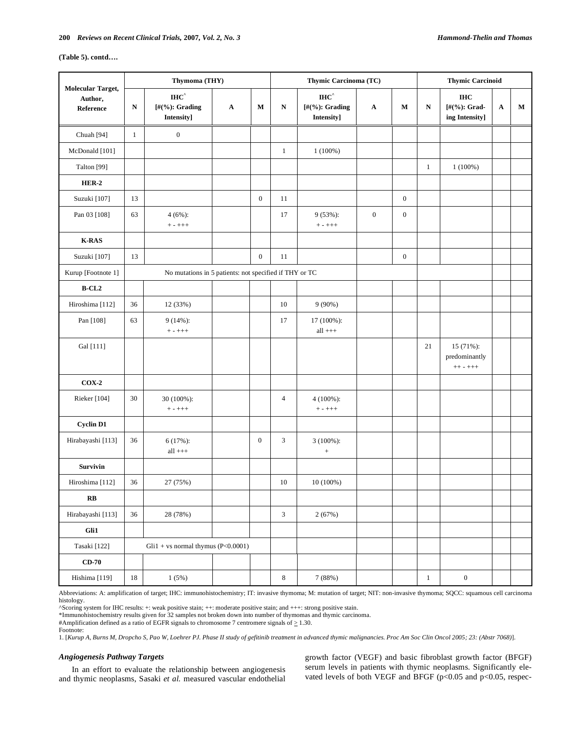# **(Table 5). contd….**

|                                           |              | Thymoma (THY)                                                             |             |                  |                | Thymic Carcinoma (TC)                                                          | <b>Thymic Carcinoid</b> |                  |              |                                                 |             |   |
|-------------------------------------------|--------------|---------------------------------------------------------------------------|-------------|------------------|----------------|--------------------------------------------------------------------------------|-------------------------|------------------|--------------|-------------------------------------------------|-------------|---|
| Molecular Target,<br>Author,<br>Reference | N            | $\mathbf{I}\mathbf{H}\mathbf{C}^{\wedge}$<br>[#(%): Grading<br>Intensity] | $\mathbf A$ | M                | N              | $\mathbf{I}\mathbf{H}\mathbf{C}^{\wedge}$<br>[ $\#$ (%): Grading<br>Intensity] | $\mathbf A$             | М                | N            | <b>IHC</b><br>$[#(%): Grand-$<br>ing Intensity] | $\mathbf A$ | М |
| Chuah [94]                                | $\mathbf{1}$ | $\boldsymbol{0}$                                                          |             |                  |                |                                                                                |                         |                  |              |                                                 |             |   |
| McDonald [101]                            |              |                                                                           |             |                  | $\mathbf{1}$   | $1(100\%)$                                                                     |                         |                  |              |                                                 |             |   |
| Talton [99]                               |              |                                                                           |             |                  |                |                                                                                |                         |                  | $\mathbf{1}$ | $1(100\%)$                                      |             |   |
| $HER-2$                                   |              |                                                                           |             |                  |                |                                                                                |                         |                  |              |                                                 |             |   |
| Suzuki [107]                              | 13           |                                                                           |             | $\boldsymbol{0}$ | 11             |                                                                                |                         | $\boldsymbol{0}$ |              |                                                 |             |   |
| Pan 03 [108]                              | 63           | $4(6\%)$ :<br>$+ - + + +$                                                 |             |                  | 17             | 9 (53%):<br>$+ - + + +$                                                        | $\boldsymbol{0}$        | $\boldsymbol{0}$ |              |                                                 |             |   |
| $K-RAS$                                   |              |                                                                           |             |                  |                |                                                                                |                         |                  |              |                                                 |             |   |
| Suzuki [107]                              | 13           |                                                                           |             | $\boldsymbol{0}$ | 11             |                                                                                |                         | $\boldsymbol{0}$ |              |                                                 |             |   |
| Kurup [Footnote 1]                        |              | No mutations in 5 patients: not specified if THY or TC                    |             |                  |                |                                                                                |                         |                  |              |                                                 |             |   |
| $B-CL2$                                   |              |                                                                           |             |                  |                |                                                                                |                         |                  |              |                                                 |             |   |
| Hiroshima [112]                           | 36           | 12 (33%)                                                                  |             |                  | 10             | $9(90\%)$                                                                      |                         |                  |              |                                                 |             |   |
| Pan [108]                                 | 63           | $9(14\%)$ :<br>$+ - + + +$                                                |             |                  | 17             | 17 (100%):<br>$all$ +++                                                        |                         |                  |              |                                                 |             |   |
| Gal [111]                                 |              |                                                                           |             |                  |                |                                                                                |                         |                  | 21           | 15 (71%):<br>predominantly<br>$++ - + + +$      |             |   |
| $COX-2$                                   |              |                                                                           |             |                  |                |                                                                                |                         |                  |              |                                                 |             |   |
| Rieker [104]                              | 30           | 30 (100%):<br>$+ - + + +$                                                 |             |                  | $\overline{4}$ | 4 (100%):<br>$+ - + + +$                                                       |                         |                  |              |                                                 |             |   |
| <b>Cyclin D1</b>                          |              |                                                                           |             |                  |                |                                                                                |                         |                  |              |                                                 |             |   |
| Hirabayashi [113]                         | 36           | $6(17%)$ :<br>$all$ +++                                                   |             | $\mathbf{0}$     | $\mathfrak{Z}$ | 3 (100%):<br>$^+$                                                              |                         |                  |              |                                                 |             |   |
| <b>Survivin</b>                           |              |                                                                           |             |                  |                |                                                                                |                         |                  |              |                                                 |             |   |
| Hiroshima [112]                           | 36           | 27 (75%)                                                                  |             |                  | 10             | 10 (100%)                                                                      |                         |                  |              |                                                 |             |   |
| $\mathbf{R}\mathbf{B}$                    |              |                                                                           |             |                  |                |                                                                                |                         |                  |              |                                                 |             |   |
| Hirabayashi [113]                         | 36           | 28 (78%)                                                                  |             |                  | $\mathfrak{Z}$ | 2(67%)                                                                         |                         |                  |              |                                                 |             |   |
| Gli1                                      |              |                                                                           |             |                  |                |                                                                                |                         |                  |              |                                                 |             |   |
| Tasaki [122]                              |              | $Gli1 + vs normal thymus (P<0.0001)$                                      |             |                  |                |                                                                                |                         |                  |              |                                                 |             |   |
| $CD-70$                                   |              |                                                                           |             |                  |                |                                                                                |                         |                  |              |                                                 |             |   |
| Hishima [119]                             | 18           | 1(5%)                                                                     |             |                  | 8              | 7 (88%)                                                                        |                         |                  | $\mathbf{1}$ | $\boldsymbol{0}$                                |             |   |

Abbreviations: A: amplification of target; IHC: immunohistochemistry; IT: invasive thymoma; M: mutation of target; NIT: non-invasive thymoma; SQCC: squamous cell carcinoma histology.

^Scoring system for IHC results: +: weak positive stain; ++: moderate positive stain; and +++: strong positive stain.

\*Immunohistochemistry results given for 32 samples not broken down into number of thymomas and thymic carcinoma.

#Amplification defined as a ratio of EGFR signals to chromosome 7 centromere signals of  $\geq$  1.30.

Footnote:

1. [*Kurup A, Burns M, Dropcho S, Pao W, Loehrer PJ. Phase II study of gefitinib treatment in advanced thymic malignancies. Proc Am Soc Clin Oncol 2005; 23: (Abstr 7068)*].

# *Angiogenesis Pathway Targets*

In an effort to evaluate the relationship between angiogenesis and thymic neoplasms, Sasaki *et al.* measured vascular endothelial growth factor (VEGF) and basic fibroblast growth factor (BFGF) serum levels in patients with thymic neoplasms. Significantly elevated levels of both VEGF and BFGF ( $p$ <0.05 and  $p$  <0.05, respec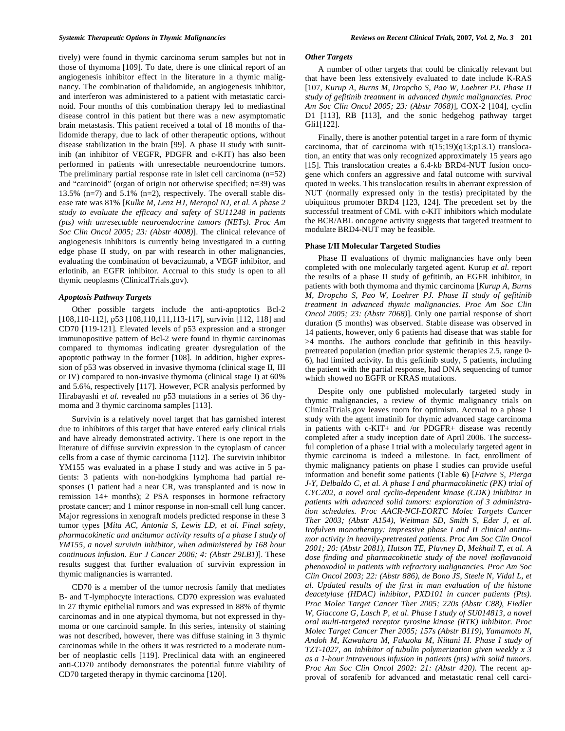tively) were found in thymic carcinoma serum samples but not in those of thymoma [109]. To date, there is one clinical report of an angiogenesis inhibitor effect in the literature in a thymic malignancy. The combination of thalidomide, an angiogenesis inhibitor, and interferon was administered to a patient with metastatic carcinoid. Four months of this combination therapy led to mediastinal disease control in this patient but there was a new asymptomatic brain metastasis. This patient received a total of 18 months of thalidomide therapy, due to lack of other therapeutic options, without disease stabilization in the brain [99]. A phase II study with sunitinib (an inhibitor of VEGFR, PDGFR and c-KIT) has also been performed in patients with unresectable neuroendocrine tumors. The preliminary partial response rate in islet cell carcinoma (n=52) and "carcinoid" (organ of origin not otherwise specified; n=39) was 13.5% (n=7) and 5.1% (n=2), respectively. The overall stable disease rate was 81% [*Kulke M, Lenz HJ, Meropol NJ, et al. A phase 2 study to evaluate the efficacy and safety of SU11248 in patients (pts) with unresectable neuroendocrine tumors (NETs). Proc Am Soc Clin Oncol 2005; 23: (Abstr 4008)*]. The clinical relevance of angiogenesis inhibitors is currently being investigated in a cutting edge phase II study, on par with research in other malignancies, evaluating the combination of bevacizumab, a VEGF inhibitor, and erlotinib, an EGFR inhibitor. Accrual to this study is open to all thymic neoplasms (ClinicalTrials.gov).

## *Apoptosis Pathway Targets*

Other possible targets include the anti-apoptotics Bcl-2 [108,110-112], p53 [108,110,111,113-117], survivin [112, 118] and CD70 [119-121]. Elevated levels of p53 expression and a stronger immunopositive pattern of Bcl-2 were found in thymic carcinomas compared to thymomas indicating greater dysregulation of the apoptotic pathway in the former [108]. In addition, higher expression of p53 was observed in invasive thymoma (clinical stage II, III or IV) compared to non-invasive thymoma (clinical stage I) at 60% and 5.6%, respectively [117]. However, PCR analysis performed by Hirabayashi et al. revealed no p53 mutations in a series of 36 thymoma and 3 thymic carcinoma samples [113].

Survivin is a relatively novel target that has garnished interest due to inhibitors of this target that have entered early clinical trials and have already demonstrated activity. There is one report in the literature of diffuse survivin expression in the cytoplasm of cancer cells from a case of thymic carcinoma [112]. The survivin inhibitor YM155 was evaluated in a phase I study and was active in 5 patients: 3 patients with non-hodgkins lymphoma had partial responses (1 patient had a near CR, was transplanted and is now in remission 14+ months); 2 PSA responses in hormone refractory prostate cancer; and 1 minor response in non-small cell lung cancer. Major regressions in xenograft models predicted response in these 3 tumor types [*Mita AC, Antonia S, Lewis LD, et al. Final safety, pharmacokinetic and antitumor activity results of a phase I study of YM155, a novel survivin inhibitor, when administered by 168 hour continuous infusion. Eur J Cancer 2006; 4: (Abstr 29LB1)*]. These results suggest that further evaluation of survivin expression in thymic malignancies is warranted.

CD70 is a member of the tumor necrosis family that mediates B- and T-lymphocyte interactions. CD70 expression was evaluated in 27 thymic epithelial tumors and was expressed in 88% of thymic carcinomas and in one atypical thymoma, but not expressed in thymoma or one carcinoid sample. In this series, intensity of staining was not described, however, there was diffuse staining in 3 thymic carcinomas while in the others it was restricted to a moderate number of neoplastic cells [119]. Preclinical data with an engineered anti-CD70 antibody demonstrates the potential future viability of CD70 targeted therapy in thymic carcinoma [120].

## *Other Targets*

A number of other targets that could be clinically relevant but that have been less extensively evaluated to date include K-RAS [107, *Kurup A, Burns M, Dropcho S, Pao W, Loehrer PJ. Phase II study of gefitinib treatment in advanced thymic malignancies. Proc Am Soc Clin Oncol 2005; 23: (Abstr 7068)*], COX-2 [104], cyclin D1 [113], RB [113], and the sonic hedgehog pathway target Gli1[122].

Finally, there is another potential target in a rare form of thymic carcinoma, that of carcinoma with  $t(15;19)(q13;p13.1)$  translocation, an entity that was only recognized approximately 15 years ago [15]. This translocation creates a 6.4-kb BRD4-NUT fusion oncogene which confers an aggressive and fatal outcome with survival quoted in weeks. This translocation results in aberrant expression of NUT (normally expressed only in the testis) precipitated by the ubiquitous promoter BRD4 [123, 124]. The precedent set by the successful treatment of CML with c-KIT inhibitors which modulate the BCR/ABL oncogene activity suggests that targeted treatment to modulate BRD4-NUT may be feasible.

#### **Phase I/II Molecular Targeted Studies**

Phase II evaluations of thymic malignancies have only been completed with one molecularly targeted agent. Kurup *et al.* report the results of a phase II study of gefitinib, an EGFR inhibitor, in patients with both thymoma and thymic carcinoma [*Kurup A, Burns M, Dropcho S, Pao W, Loehrer PJ. Phase II study of gefitinib treatment in advanced thymic malignancies. Proc Am Soc Clin Oncol 2005; 23: (Abstr 7068)*]. Only one partial response of short duration (5 months) was observed. Stable disease was observed in 14 patients, however, only 6 patients had disease that was stable for >4 months. The authors conclude that gefitinib in this heavilypretreated population (median prior systemic therapies 2.5, range 0- 6), had limited activity. In this gefitinib study, 5 patients, including the patient with the partial response, had DNA sequencing of tumor which showed no EGFR or KRAS mutations.

Despite only one published molecularly targeted study in thymic malignancies, a review of thymic malignancy trials on ClinicalTrials.gov leaves room for optimism. Accrual to a phase I study with the agent imatinib for thymic advanced stage carcinoma in patients with c-KIT+ and /or PDGFR+ disease was recently completed after a study inception date of April 2006. The successful completion of a phase I trial with a molecularly targeted agent in thymic carcinoma is indeed a milestone. In fact, enrollment of thymic malignancy patients on phase I studies can provide useful information and benefit some patients (Table **6**) [*Faivre S, Pierga J-Y, Delbaldo C, et al. A phase I and pharmacokinetic (PK) trial of CYC202, a novel oral cyclin-dependent kinase (CDK) inhibitor in patients with advanced solid tumors: exploration of 3 administration schedules. Proc AACR-NCI-EORTC Molec Targets Cancer Ther 2003; (Abstr A154)*, *Weitman SD, Smith S, Eder J, et al. Irofulven monotherapy: impressive phase I and II clinical antitumor activity in heavily-pretreated patients. Proc Am Soc Clin Oncol 2001; 20: (Abstr 2081)*, *Hutson TE, Plavney D, Mekhail T, et al. A dose finding and pharmacokinetic study of the novel isoflavanoid phenoxodiol in patients with refractory malignancies. Proc Am Soc Clin Oncol 2003; 22: (Abstr 886)*, *de Bono JS, Steele N, Vidal L, et al. Updated results of the first in man evaluation of the histone deacetylase (HDAC) inhibitor, PXD101 in cancer patients (Pts). Proc Molec Target Cancer Ther 2005; 220s (Abstr C88)*, *Fiedler W, Giaccone G, Lasch P, et al. Phase I study of SU014813, a novel oral multi-targeted receptor tyrosine kinase (RTK) inhibitor. Proc Molec Target Cancer Ther 2005; 157s (Abstr B119)*, *Yamamoto N, Andoh M, Kawahara M, Fukuoka M, Niitani H. Phase I study of TZT-1027, an inhibitor of tubulin polymerization given weekly x 3 as a 1-hour intravenous infusion in patients (pts) with solid tumors. Proc Am Soc Clin Oncol 2002: 21: (Abstr 420)*. The recent approval of sorafenib for advanced and metastatic renal cell carci-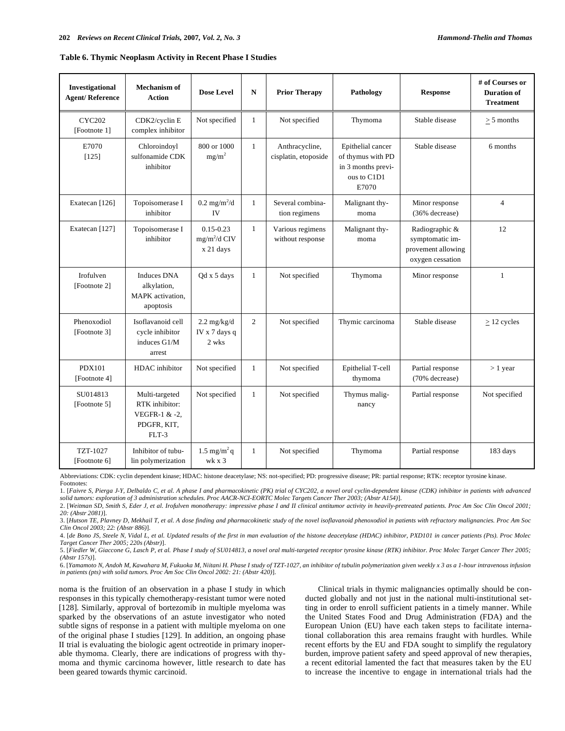#### **Table 6. Thymic Neoplasm Activity in Recent Phase I Studies**

| Investigational<br><b>Agent/Reference</b> | Mechanism of<br><b>Action</b>                                             | <b>Dose Level</b>                               | N              | <b>Prior Therapy</b>                   | Pathology                                                                            | <b>Response</b>                                                             | # of Courses or<br><b>Duration of</b><br><b>Treatment</b> |
|-------------------------------------------|---------------------------------------------------------------------------|-------------------------------------------------|----------------|----------------------------------------|--------------------------------------------------------------------------------------|-----------------------------------------------------------------------------|-----------------------------------------------------------|
| <b>CYC202</b><br>[Footnote 1]             | CDK2/cyclin E<br>complex inhibitor                                        | Not specified                                   | 1              | Not specified                          | Thymoma                                                                              | Stable disease                                                              | $> 5$ months                                              |
| E7070<br>[125]                            | Chloroindoyl<br>sulfonamide CDK<br>inhibitor                              | 800 or 1000<br>$mg/m^2$                         | $\mathbf{1}$   | Anthracycline,<br>cisplatin, etoposide | Epithelial cancer<br>of thymus with PD<br>in 3 months previ-<br>ous to C1D1<br>E7070 | Stable disease                                                              | 6 months                                                  |
| Exatecan [126]                            | Topoisomerase I<br>inhibitor                                              | $0.2 \text{ mg/m}^2/d$<br>IV                    | $\mathbf{1}$   | Several combina-<br>tion regimens      | Malignant thy-<br>moma                                                               | Minor response<br>(36% decrease)                                            | $\overline{4}$                                            |
| Exatecan [127]                            | Topoisomerase I<br>inhibitor                                              | $0.15 - 0.23$<br>$mg/m^2/d$ CIV<br>x 21 days    | $\mathbf{1}$   | Various regimens<br>without response   | Malignant thy-<br>moma                                                               | Radiographic &<br>symptomatic im-<br>provement allowing<br>oxygen cessation | 12                                                        |
| Irofulven<br>[Footnote 2]                 | <b>Induces DNA</b><br>alkylation,<br>MAPK activation,<br>apoptosis        | Qd x 5 days                                     | 1              | Not specified                          | Thymoma                                                                              | Minor response                                                              | 1                                                         |
| Phenoxodiol<br>[Footnote 3]               | Isoflavanoid cell<br>cycle inhibitor<br>induces G1/M<br>arrest            | $2.2 \text{ mg/kg/d}$<br>IV x 7 days q<br>2 wks | $\overline{c}$ | Not specified                          | Thymic carcinoma                                                                     | Stable disease                                                              | $\geq$ 12 cycles                                          |
| <b>PDX101</b><br>[Footnote 4]             | HDAC inhibitor                                                            | Not specified                                   | 1              | Not specified                          | Epithelial T-cell<br>thymoma                                                         | Partial response<br>(70% decrease)                                          | $> 1$ year                                                |
| SU014813<br>[Footnote 5]                  | Multi-targeted<br>RTK inhibitor:<br>VEGFR-1 & -2,<br>PDGFR, KIT,<br>FLT-3 | Not specified                                   | $\mathbf{1}$   | Not specified                          | Thymus malig-<br>nancy                                                               | Partial response                                                            | Not specified                                             |
| TZT-1027<br>[Footnote 6]                  | Inhibitor of tubu-<br>lin polymerization                                  | $1.5 \text{ mg/m}^2$ q<br>wk x 3                | 1              | Not specified                          | Thymoma                                                                              | Partial response                                                            | 183 days                                                  |

Abbreviations: CDK: cyclin dependent kinase; HDAC: histone deacetylase; NS: not-specified; PD: progressive disease; PR: partial response; RTK: receptor tyrosine kinase. Footnotes:

1. [*Faivre S, Pierga J-Y, Delbaldo C, et al. A phase I and pharmacokinetic (PK) trial of CYC202, a novel oral cyclin-dependent kinase (CDK) inhibitor in patients with advanced solid tumors: exploration of 3 administration schedules. Proc AACR-NCI-EORTC Molec Targets Cancer Ther 2003; (Abstr A154)*].

2. [*Weitman SD, Smith S, Eder J, et al. Irofulven monotherapy: impressive phase I and II clinical antitumor activity in heavily-pretreated patients. Proc Am Soc Clin Oncol 2001; 20: (Abstr 2081)*].

3. [*Hutson TE, Plavney D, Mekhail T, et al. A dose finding and pharmacokinetic study of the novel isoflavanoid phenoxodiol in patients with refractory malignancies. Proc Am Soc Clin Oncol 2003; 22: (Abstr 886)*].

4. [*de Bono JS, Steele N, Vidal L, et al. Updated results of the first in man evaluation of the histone deacetylase (HDAC) inhibitor, PXD101 in cancer patients (Pts). Proc Molec Target Cancer Ther 2005; 220s (Abstr)*].

5. [*Fiedler W, Giaccone G, Lasch P, et al. Phase I study of SU014813, a novel oral multi-targeted receptor tyrosine kinase (RTK) inhibitor. Proc Molec Target Cancer Ther 2005; (Abstr 157s)*].

6. [*Yamamoto N, Andoh M, Kawahara M, Fukuoka M, Niitani H. Phase I study of TZT-1027, an inhibitor of tubulin polymerization given weekly x 3 as a 1-hour intravenous infusion in patients (pts) with solid tumors. Proc Am Soc Clin Oncol 2002: 21: (Abstr 420)*].

noma is the fruition of an observation in a phase I study in which responses in this typically chemotherapy-resistant tumor were noted [128]. Similarly, approval of bortezomib in multiple myeloma was sparked by the observations of an astute investigator who noted subtle signs of response in a patient with multiple myeloma on one of the original phase I studies [129]. In addition, an ongoing phase II trial is evaluating the biologic agent octreotide in primary inoperable thymoma. Clearly, there are indications of progress with thymoma and thymic carcinoma however, little research to date has been geared towards thymic carcinoid.

Clinical trials in thymic malignancies optimally should be conducted globally and not just in the national multi-institutional setting in order to enroll sufficient patients in a timely manner. While the United States Food and Drug Administration (FDA) and the European Union (EU) have each taken steps to facilitate international collaboration this area remains fraught with hurdles. While recent efforts by the EU and FDA sought to simplify the regulatory burden, improve patient safety and speed approval of new therapies, a recent editorial lamented the fact that measures taken by the EU to increase the incentive to engage in international trials had the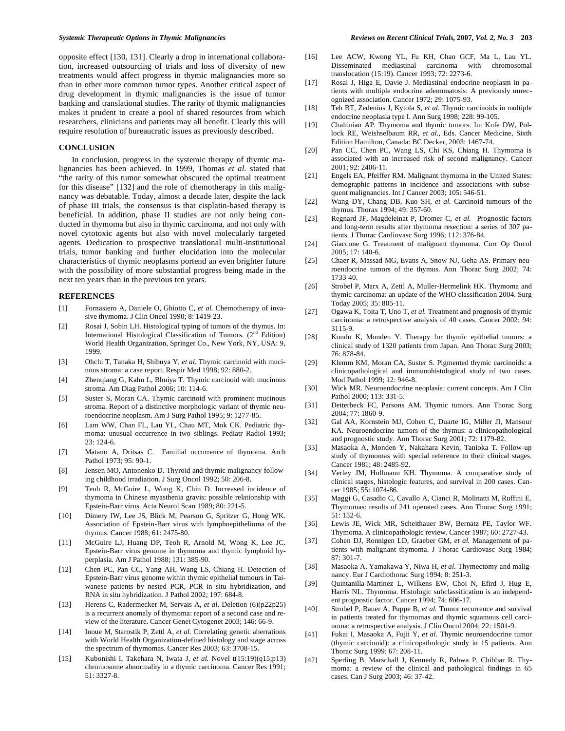opposite effect [130, 131]. Clearly a drop in international collaboration, increased outsourcing of trials and loss of diversity of new treatments would affect progress in thymic malignancies more so than in other more common tumor types. Another critical aspect of drug development in thymic malignancies is the issue of tumor banking and translational studies. The rarity of thymic malignancies makes it prudent to create a pool of shared resources from which researchers, clinicians and patients may all benefit. Clearly this will require resolution of bureaucratic issues as previously described.

# **CONCLUSION**

In conclusion, progress in the systemic therapy of thymic malignancies has been achieved. In 1999, Thomas *et al.* stated that "the rarity of this tumor somewhat obscured the optimal treatment for this disease" [132] and the role of chemotherapy in this malignancy was debatable. Today, almost a decade later, despite the lack of phase III trials, the consensus is that cisplatin-based therapy is beneficial. In addition, phase II studies are not only being conducted in thymoma but also in thymic carcinoma, and not only with novel cytotoxic agents but also with novel molecularly targeted agents. Dedication to prospective translational multi-institutional trials, tumor banking and further elucidation into the molecular characteristics of thymic neoplasms portend an even brighter future with the possibility of more substantial progress being made in the next ten years than in the previous ten years.

#### **REFERENCES**

- [1] Fornasiero A, Daniele O, Ghiotto C, *et al.* Chemotherapy of invasive thymoma. J Clin Oncol 1990; 8: 1419-23.
- [2] Rosai J, Sobin LH. Histological typing of tumors of the thymus. In: International Histological Classification of Tumors. (2<sup>nd</sup> Edition) World Health Organization, Springer Co., New York, NY, USA: 9, 1999.
- [3] Ohchi T, Tanaka H, Shibuya Y, *et al.* Thymic carcinoid with mucinous stroma: a case report. Respir Med 1998; 92: 880-2.
- [4] Zhenqiang G, Kahn L, Bhuiya T. Thymic carcinoid with mucinous stroma. Am Diag Pathol 2006; 10: 114-6.
- [5] Suster S, Moran CA. Thymic carcinoid with prominent mucinous stroma. Report of a distinctive morphologic variant of thymic neuroendocrine neoplasm. Am J Surg Pathol 1995; 9: 1277-85.
- [6] Lam WW, Chan FL, Lau YL, Chau MT, Mok CK. Pediatric thymoma: unusual occurrence in two siblings. Pediatr Radiol 1993; 23: 124-6.
- [7] Matano A, Dritsas C. Familial occurrence of thymoma. Arch Pathol 1973; 95: 90-1.
- [8] Jensen MO, Antonenko D. Thyroid and thymic malignancy following childhood irradiation. J Surg Oncol 1992; 50: 206-8.
- [9] Teoh R, McGuire L, Wong K, Chin D. Increased incidence of thymoma in Chinese myasthenia gravis: possible relationship with Epstein-Barr virus. Acta Neurol Scan 1989; 80: 221-5.
- [10] Dimery IW, Lee JS, Blick M, Pearson G, Spritzer G, Hong WK. Association of Epstein-Barr virus with lymphoepithelioma of the thymus. Cancer 1988; 61: 2475-80.
- [11] McGuire LJ, Huang DP, Teoh R, Arnold M, Wong K, Lee JC. Epstein-Barr virus genome in thymoma and thymic lymphoid hyperplasia. Am J Pathol 1988; 131: 385-90.
- [12] Chen PC, Pan CC, Yang AH, Wang LS, Chiang H. Detection of Epstein-Barr virus genome within thymic epithelial tumours in Taiwanese patients by nested PCR, PCR in situ hybridization, and RNA in situ hybridization. J Pathol 2002; 197: 684-8.
- [13] Herens C, Radermecker M, Servais A, *et al.* Deletion (6)(p22p25) is a recurrent anomaly of thymoma: report of a second case and review of the literature. Cancer Genet Cytogenet 2003; 146: 66-9.
- [14] Inoue M, Starostik P, Zettl A, et al. Correlating genetic aberrations with World Health Organization-defined histology and stage across the spectrum of thymomas. Cancer Res 2003; 63: 3708-15.
- [15] Kubonishi I, Takehara N, Iwata J, *et al.* Novel t(15:19)(q15;p13) chromosome abnormality in a thymic carcinoma. Cancer Res 1991; 51: 3327-8.
- [16] Lee ACW, Kwong YL, Fu KH, Chan GCF, Ma L, Lau YL. Disseminated mediastinal carcinoma with chromosomal translocation (15:19). Cancer 1993; 72: 2273-6.
- [17] Rosai J, Higa E, Davie J. Mediastinal endocrine neoplasm in patients with multiple endocrine adenomatosis: A previously unrecognized association. Cancer 1972; 29: 1075-93.
- [18] Teh BT, Zedenius J, Kytola S, *et al.* Thymic carcinoids in multiple endocrine neoplasia type I. Ann Surg 1998; 228: 99-105.
- [19] Chahinian AP. Thymoma and thymic tumors. In: Kufe DW, Pollock RE, Weishselbaum RR, *et al.*, Eds. Cancer Medicine, Sixth Edition Hamilton, Canada: BC Decker, 2003: 1467-74.
- [20] Pan CC, Chen PC, Wang LS, Chi KS, Chiang H. Thymoma is associated with an increased risk of second malignancy. Cancer 2001; 92: 2406-11.
- [21] Engels EA, Pfeiffer RM. Malignant thymoma in the United States: demographic patterns in incidence and associations with subsequent malignancies. Int J Cancer 2003; 105: 546-51.
- [22] Wang DY, Chang DB, Kuo SH, *et al.* Carcinoid tumours of the thymus. Thorax 1994; 49: 357-60.
- [23] Regnard JF, Magdeleinat P, Dromer C, *et al.* Prognostic factors and long-term results after thymoma resection: a series of 307 patients. J Thorac Cardiovasc Surg 1996; 112: 376-84.
- [24] Giaccone G. Treatment of malignant thymoma. Curr Op Oncol 2005; 17: 140-6.
- [25] Chaer R, Massad MG, Evans A, Snow NJ, Geha AS. Primary neuroendocrine tumors of the thymus. Ann Thorac Surg 2002; 74: 1733-40.
- [26] Strobel P, Marx A, Zettl A, Muller-Hermelink HK. Thymoma and thymic carcinoma: an update of the WHO classification 2004. Surg Today 2005; 35: 805-11.
- [27] Ogawa K, Toita T, Uno T, *et al.* Treatment and prognosis of thymic carcinoma: a retrospective analysis of 40 cases. Cancer 2002; 94: 3115-9.
- [28] Kondo K, Monden Y. Therapy for thymic epithelial tumors: a clinical study of 1320 patients from Japan. Ann Thorac Surg 2003; 76: 878-84.
- [29] Klemm KM, Moran CA, Suster S. Pigmented thymic carcinoids: a clinicopathological and immunohistological study of two cases. Mod Pathol 1999; 12: 946-8.
- [30] Wick MR. Neuroendocrine neoplasia: current concepts. Am J Clin Pathol 2000; 113: 331-5.
- [31] Detterbeck FC, Parsons AM. Thymic tumors. Ann Thorac Surg 2004; 77: 1860-9.
- [32] Gal AA, Kornstein MJ, Cohen C, Duarte IG, Miller JI, Mansour KA. Neuroendocrine tumors of the thymus: a clinicopathological and prognostic study. Ann Thorac Surg 2001; 72: 1179-82.
- [33] Masaoka A, Monden Y, Nakahara Kevin, Tanioka T. Follow-up study of thymomas with special reference to their clinical stages. Cancer 1981; 48: 2485-92.
- [34] Verley JM, Hollmann KH. Thymoma. A comparative study of clinical stages, histologic features, and survival in 200 cases. Cancer 1985; 55: 1074-86.
- [35] Maggi G, Casadio C, Cavallo A, Cianci R, Molinatti M, Ruffini E. Thymomas: results of 241 operated cases. Ann Thorac Surg 1991; 51: 152-6.
- [36] Lewis JE, Wick MR, Scheithauer BW, Bernatz PE, Taylor WF. Thymoma. A clinicopathologic review. Cancer 1987; 60: 2727-43.
- [37] Cohen DJ, Ronnigen LD, Graeber GM, *et al.* Management of patients with malignant thymoma. J Thorac Cardiovasc Surg 1984; 87: 301-7.
- [38] Masaoka A, Yamakawa Y, Niwa H, *et al.* Thymectomy and malignancy. Eur J Cardiothorac Surg 1994; 8: 251-3.
- [39] Quintanilla-Martinez L, Wilkens EW, Choi N, Efird J, Hug E, Harris NL. Thymoma. Histologic subclassification is an independent prognostic factor. Cancer 1994; 74: 606-17.
- [40] Strobel P, Bauer A, Puppe B, *et al.* Tumor recurrence and survival in patients treated for thymomas and thymic squamous cell carcinoma: a retrospective analysis. J Clin Oncol 2004; 22: 1501-9.
- [41] Fukai I, Masaoka A, Fujii Y, *et al.* Thymic neuroendocrine tumor (thymic carcinoid): a clinicopathologic study in 15 patients. Ann Thorac Surg 1999; 67: 208-11.
- [42] Sperling B, Marschall J, Kennedy R, Pahwa P, Chibbar R. Thymoma: a review of the clinical and pathological findings in 65 cases. Can J Surg 2003; 46: 37-42.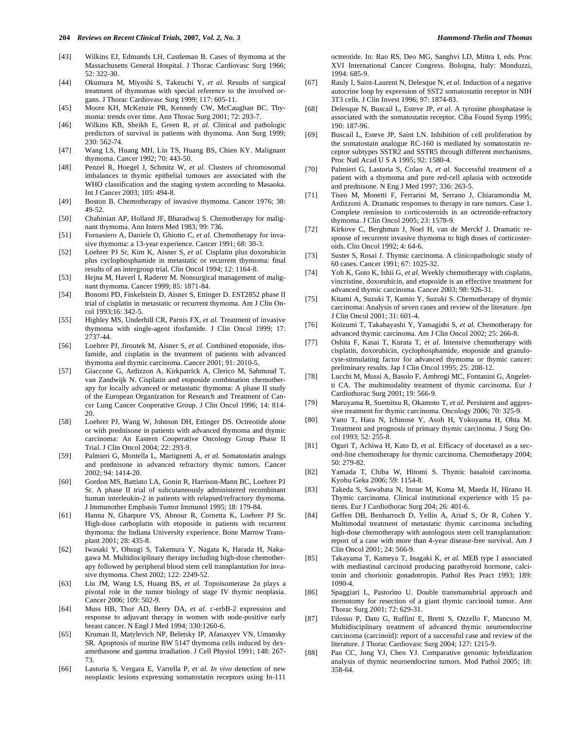- Massachusetts General Hospital. J Thorac Cardiovasc Surg 1966; 52: 322-30.
- [44] Okumura M, Miyoshi S, Takeuchi Y, *et al.* Results of surgical treatment of thymomas with special reference to the involved organs. J Thorac Cardiovasc Surg 1999; 117: 605-11.
- [45] Moore KH, McKenzie PR, Kennedy CW, McCaughan BC. Thymoma: trends over time. Ann Thorac Surg 2001; 72: 203-7.
- [46] Wilkins KB, Sheikh E, Green R, *et al.* Clinical and pathologic predictors of survival in patients with thymoma. Ann Surg 1999; 230: 562-74.
- [47] Wang LS, Huang MH, Lin TS, Huang BS, Chien KY. Malignant thymoma. Cancer 1992; 70: 443-50.
- [48] Penzel R, Hoegel J, Schmitz W, *et al.* Clusters of chromosomal imbalances in thymic epithelial tumours are associated with the WHO classification and the staging system according to Masaoka. Int J Cancer 2003; 105: 494-8.
- [49] Boston B. Chemotherapy of invasive thymoma. Cancer 1976; 38: 49-52.
- [50] Chahinian AP, Holland JF, Bharadwaj S. Chemotherapy for malignant thymoma. Ann Intern Med 1983; 99: 736.
- [51] Fornasiero A, Daniele O, Ghiotto C, *et al.* Chemotherapy for invasive thymoma: a 13-year experience. Cancer 1991; 68: 30-3.
- [52] Loehrer PJ Sr, Kim K, Aisner S, *et al.* Cisplatin plus doxorubicin plus cyclophosphamide in metastatic or recurrent thymoma: final results of an intergroup trial. Clin Oncol 1994; 12: 1164-8.
- [53] Hejna M, Haverl I, Raderer M. Nonsurgical management of malignant thymoma. Cancer 1999; 85: 1871-84.
- [54] Bonomi PD, Finkelstein D, Aisner S, Ettinger D. EST2852 phase II trial of cisplatin in metastatic or recurrent thymoma. Am J Clin Oncol 1993;16: 342-5.
- [55] Highley MS, Underhill CR, Parnis FX, *et al.* Treatment of invasive thymoma with single-agent ifosfamide. J Clin Oncol 1999; 17: 2737-44.
- [56] Loehrer PJ, Jiroutek M, Aisner S, *et al*. Combined etoposide, ifosfamide, and cisplatin in the treatment of patients with advanced thymoma and thymic carcinoma. Cancer 2001; 91: 2010-5.
- [57] Giaccone G, Ardizzon A, Kirkpatrick A, Clerico M, Sahmoud T, van Zandwijk N. Cisplatin and etoposide combination chemotherapy for locally advanced or metastatic thymoma: A phase II study of the European Organization for Research and Treatment of Cancer Lung Cancer Cooperative Group. J Clin Oncol 1996; 14: 814- 20.
- [58] Loehrer PJ, Wang W, Johnson DH, Ettinger DS. Octreotide alone or with prednisone in patients with advanced thymoma and thymic carcinoma: An Eastern Cooperative Oncology Group Phase II Trial. J Clin Oncol 2004; 22: 293-9.
- [59] Palmieri G, Montella L, Martignetti A, *et al.* Somatostatin analogs and prednisone in advanced refractory thymic tumors. Cancer 2002; 94: 1414-20.
- [60] Gordon MS, Battiato LA, Gonin R, Harrison-Mann BC, Loehrer PJ Sr. A phase II trial of subcutaneously administered recombinant human interleukin-2 in patients with relapsed/refractory thymoma. J Immunother Emphasis Tumor Immunol 1995; 18: 179-84.
- [61] Hanna N, Gharpure VS, Abnour R, Cornetta K, Loehrer PJ Sr. High-dose carboplatin with etoposide in patients with recurrent thymoma: the Indiana University experience. Bone Marrow Transplant 2001; 28: 435-8.
- [62] Iwasaki Y, Ohsugi S, Takemura Y, Nagata K, Harada H, Nakagawa M. Multidisciplinary therapy including high-dose chemotherapy followed by peripheral blood stem cell transplantation for invasive thymoma. Chest 2002; 122: 2249-52.
- [63] Liu JM, Wang LS, Huang BS, et al. Topoisomerase 2a plays a pivotal role in the tumor biology of stage IV thymic neoplasia. Cancer 2006; 109: 502-9.
- [64] Muss HB, Thor AD, Berry DA, *et al.* c-erbB-2 expression and response to adjuvant therapy in women with node-positive early breast cancer. N Engl J Med 1994; 330:1260-6.
- [65] Kruman II, Matylevich NP, Beletsky IP, Afanasyev VN, Umansky SR. Apoptosis of murine BW 5147 thymoma cells induced by dexamethasone and gamma irradiation. J Cell Physiol 1991; 148: 267- 73.
- [66] Lastoria S, Vergara E, Varrella P, *et al. In vivo* detection of new neoplastic lesions expressing somatostatin receptors using In-111

octreotide. In: Rao RS, Deo MG, Sanghvi LD, Mittra I, eds. Proc XVI International Cancer Congress. Bologna, Italy: Monduzzi, 1994: 685-9.

- [67] Rauly I, Saint-Laurent N, Delesque N, *et al.* Induction of a negative autocrine loop by expression of SST2 somatostatin receptor in NIH 3T3 cells. J Clin Invest 1996; 97: 1874-83.
- [68] Delesque N, Buscail L, Esteve JP, *et al.* A tyrosine phosphatase is associated with the somatostatin receptor. Ciba Found Symp 1995; 190: 187-96.
- [69] Buscail L, Esteve JP, Saint LN. Inhibition of cell proliferation by the somatostain analogue RC-160 is mediated by somatostatin receptor subtypes SSTR2 and SSTR5 through different mechanisms. Proc Natl Acad U S A 1995; 92: 1580-4.
- [70] Palmieri G, Lastoria S, Colao A, *et al.* Successful treatment of a patient with a thymoma and pure red-cell aplasia with octreotide and prednisone. N Eng J Med 1997; 336: 263-5.
- [71] Tiseo M, Monetti F, Ferrarini M, Serrano J, Chiaramondia M, Ardizzoni A. Dramatic responses to therapy in rare tumors. Case 1. Complete remission to corticosteroids in an octreotide-refractory thymoma. J Clin Oncol 2005; 23: 1578-9.
- [72] Kirkove C, Berghman J, Noel H, van de Merckf J. Dramatic response of recurrent invasive thymoma to high doses of corticosteroids. Clin Oncol 1992; 4: 64-6.
- [73] Suster S, Rosai J. Thymic carcinoma. A clinicopathologic study of 60 cases. Cancer 1991; 67: 1025-32.
- [74] Yoh K, Goto K, Ishii G, *et al.* Weekly chemotherapy with cisplatin, vincristine, doxorubicin, and etoposide is an effective treatment for advanced thymic carcinoma. Cancer 2003; 98: 926-31.
- [75] Kitami A, Suzuki T, Kamio Y, Suzuki S. Chemotherapy of thymic carcinoma: Analysis of seven cases and review of the literature. Jpn J Clin Oncol 2001; 31: 601-4.
- [76] Koizumi T, Takabayashi Y, Yamagishi S, *et al.* Chemotherapy for advanced thymic carcinoma. Am J Clin Oncol 2002; 25: 266-8.
- [77] Oshita F, Kasai T, Kurata T, *et al.* Intensive chemotherapy with cisplatin, doxorubicin, cyclophosphamide, etoposide and granulocyte-stimulating factor for advanced thymoma or thymic cancer: preliminary results. Jap J Clin Oncol 1995; 25: 208-12.
- [78] Lucchi M, Mussi A, Basolo F, Ambrogi MC, Fontanini G, Angeletti CA. The multimodality treatment of thymic carcinoma. Eur J Cardiothorac Surg 2001; 19: 566-9.
- [79] Maruyama R, Suemitsu R, Okamoto T, *et al.* Persistent and aggressive treatment for thymic carcinoma. Oncology 2006; 70: 325-9.
- [80] Yano T, Hara N, Ichinose Y, Asoh H, Yokoyama H, Ohta M. Treatment and prognosis of primary thymic carcinoma. J Surg Oncol 1993; 52: 255-8.
- [81] Oguri T, Achiwa H, Kato D, *et al.* Efficacy of docetaxel as a second-line chemotherapy for thymic carcinoma. Chemotherapy 2004; 50: 279-82.
- [82] Yamada T, Chiba W, Hitomi S. Thymic basaloid carcinoma. Kyobu Geka 2006; 59: 1154-8.
- [83] Takeda S, Sawabata N, Inoue M, Koma M, Maeda H, Hirano H. Thymic carcinoma. Clinical institutional experience with 15 patients. Eur J Cardiothorac Surg 204; 26: 401-6.
- [84] Geffen DB, Benharroch D, Yellin A, Ariad S, Or R, Cohen Y. Multimodal treatment of metastatic thymic carcinoma including high-dose chemotherapy with autologous stem cell transplantation: report of a case with more than 4-year disease-free survival. Am J Clin Oncol 2001; 24: 566-9.
- [85] Takayama T, Kameya T, Inagaki K, *et al.* MEB type I associated with mediastinal carcinoid producing parathyroid hormone, calcitonin and chorionic gonadotropin. Pathol Res Pract 1993; 189: 1090-4.
- [86] Spaggiari L, Pastorino U. Double transmanubrial approach and sternotomy for resection of a giant thymic carcinoid tumor. Ann Thorac Surg 2001; 72: 629-31.
- [87] Filosso P, Dato G, Ruffini E, Bretti S, Ozzello F, Mancuso M. Multidisciplinary treatment of advanced thymic neuroendocrine carcinoma (carcinoid): report of a successful case and review of the literature. J Thorac Cardiovasc Surg 2004; 127: 1215-9.
- [88] Pan CC, Jong YJ, Chen YJ. Comparative genomic hybridization analysis of thymic neuroendocrine tumors. Mod Pathol 2005; 18: 358-64.